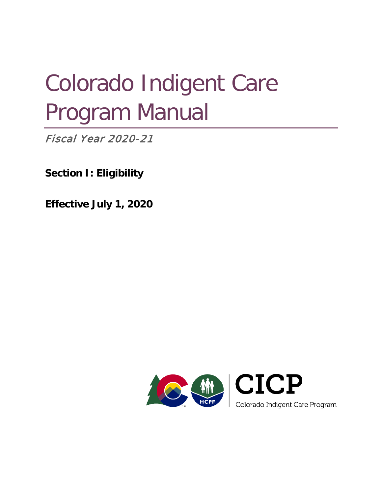# Colorado Indigent Care Program Manual

Fiscal Year 2020-21

**Section I: Eligibility**

**Effective July 1, 2020**

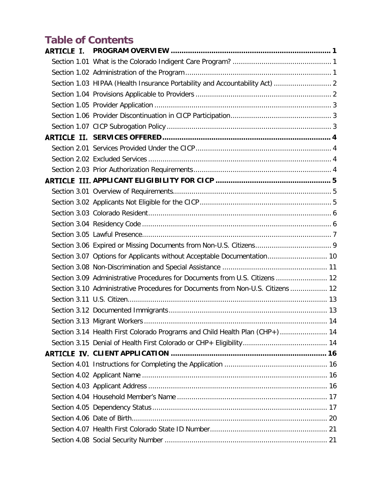# **Table of Contents**

| Section 1.03 HIPAA (Health Insurance Portability and Accountability Act)  2     |  |
|---------------------------------------------------------------------------------|--|
|                                                                                 |  |
|                                                                                 |  |
|                                                                                 |  |
|                                                                                 |  |
|                                                                                 |  |
|                                                                                 |  |
|                                                                                 |  |
|                                                                                 |  |
|                                                                                 |  |
|                                                                                 |  |
|                                                                                 |  |
|                                                                                 |  |
|                                                                                 |  |
|                                                                                 |  |
|                                                                                 |  |
| Section 3.07 Options for Applicants without Acceptable Documentation 10         |  |
|                                                                                 |  |
| Section 3.09 Administrative Procedures for Documents from U.S. Citizens  12     |  |
| Section 3.10 Administrative Procedures for Documents from Non-U.S. Citizens  12 |  |
|                                                                                 |  |
|                                                                                 |  |
|                                                                                 |  |
| Section 3.14 Health First Colorado Programs and Child Health Plan (CHP+) 14     |  |
|                                                                                 |  |
|                                                                                 |  |
|                                                                                 |  |
|                                                                                 |  |
|                                                                                 |  |
|                                                                                 |  |
|                                                                                 |  |
|                                                                                 |  |
|                                                                                 |  |
|                                                                                 |  |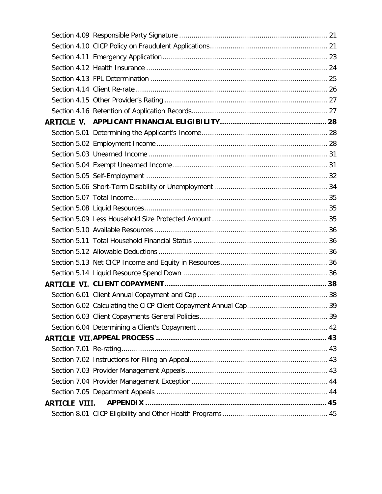| <b>ARTICLE VIII.</b> |  |
|----------------------|--|
|                      |  |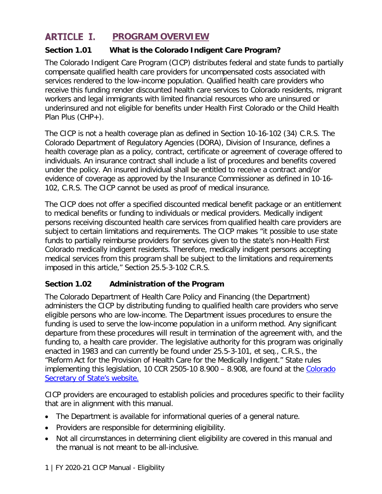#### <span id="page-3-0"></span>**ARTICLE I. PROGRAM OVERVIEW**

#### <span id="page-3-1"></span>**Section 1.01 What is the Colorado Indigent Care Program?**

The Colorado Indigent Care Program (CICP) distributes federal and state funds to partially compensate qualified health care providers for uncompensated costs associated with services rendered to the low-income population. Qualified health care providers who receive this funding render discounted health care services to Colorado residents, migrant workers and legal immigrants with limited financial resources who are uninsured or underinsured and not eligible for benefits under Health First Colorado or the Child Health Plan Plus (CHP+).

The CICP is not a health coverage plan as defined in Section 10-16-102 (34) C.R.S. The Colorado Department of Regulatory Agencies (DORA), Division of Insurance, defines a health coverage plan as a policy, contract, certificate or agreement of coverage offered to individuals. An insurance contract shall include a list of procedures and benefits covered under the policy. An insured individual shall be entitled to receive a contract and/or evidence of coverage as approved by the Insurance Commissioner as defined in 10-16- 102, C.R.S. The CICP cannot be used as proof of medical insurance.

The CICP does not offer a specified discounted medical benefit package or an entitlement to medical benefits or funding to individuals or medical providers. Medically indigent persons receiving discounted health care services from qualified health care providers are subject to certain limitations and requirements. The CICP makes "it possible to use state funds to partially reimburse providers for services given to the state's non-Health First Colorado medically indigent residents. Therefore, medically indigent persons accepting medical services from this program shall be subject to the limitations and requirements imposed in this article," Section 25.5-3-102 C.R.S.

#### <span id="page-3-2"></span>**Section 1.02 Administration of the Program**

The Colorado Department of Health Care Policy and Financing (the Department) administers the CICP by distributing funding to qualified health care providers who serve eligible persons who are low-income. The Department issues procedures to ensure the funding is used to serve the low-income population in a uniform method. Any significant departure from these procedures will result in termination of the agreement with, and the funding to, a health care provider. The legislative authority for this program was originally enacted in 1983 and can currently be found under 25.5-3-101, et seq., C.R.S., the "Reform Act for the Provision of Health Care for the Medically Indigent." State rules implementing this legislation, 10 CCR 2505-10 8.900 - 8.908, are found at the Colorado [Secretary of State's website.](http://www.sos.state.co.us/CCR/DisplayRule.do?action=ruleinfo&ruleId=2926&deptID=7&agencyID=69&deptName=Department%20of%20Health%20Care%20Policy%20and%20Financing&agencyName=Medical%20Services%20Board%20(Volume%208;%20Medical%20Assistance,%20Children%27s%20Health%20Plan)&seriesNum=10%20CCR%202505-10%208.900)

CICP providers are encouraged to establish policies and procedures specific to their facility that are in alignment with this manual.

- The Department is available for informational queries of a general nature.
- Providers are responsible for determining eligibility.
- Not all circumstances in determining client eligibility are covered in this manual and the manual is not meant to be all-inclusive.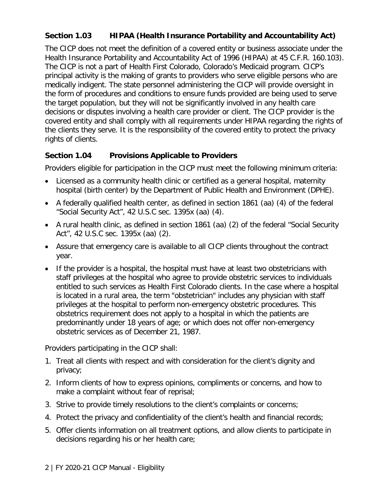#### <span id="page-4-0"></span>**Section 1.03 HIPAA (Health Insurance Portability and Accountability Act)**

The CICP does not meet the definition of a covered entity or business associate under the Health Insurance Portability and Accountability Act of 1996 (HIPAA) at 45 C.F.R. 160.103). The CICP is not a part of Health First Colorado, Colorado's Medicaid program. CICP's principal activity is the making of grants to providers who serve eligible persons who are medically indigent. The state personnel administering the CICP will provide oversight in the form of procedures and conditions to ensure funds provided are being used to serve the target population, but they will not be significantly involved in any health care decisions or disputes involving a health care provider or client. The CICP provider is the covered entity and shall comply with all requirements under HIPAA regarding the rights of the clients they serve. It is the responsibility of the covered entity to protect the privacy rights of clients.

#### <span id="page-4-1"></span>**Section 1.04 Provisions Applicable to Providers**

Providers eligible for participation in the CICP must meet the following minimum criteria:

- Licensed as a community health clinic or certified as a general hospital, maternity hospital (birth center) by the Department of Public Health and Environment (DPHE).
- A federally qualified health center, as defined in section 1861 (aa) (4) of the federal "Social Security Act", 42 U.S.C sec. 1395x (aa) (4).
- A rural health clinic, as defined in section 1861 (aa) (2) of the federal "Social Security Act", 42 U.S.C sec. 1395x (aa) (2).
- Assure that emergency care is available to all CICP clients throughout the contract year.
- If the provider is a hospital, the hospital must have at least two obstetricians with staff privileges at the hospital who agree to provide obstetric services to individuals entitled to such services as Health First Colorado clients. In the case where a hospital is located in a rural area, the term "obstetrician" includes any physician with staff privileges at the hospital to perform non-emergency obstetric procedures. This obstetrics requirement does not apply to a hospital in which the patients are predominantly under 18 years of age; or which does not offer non-emergency obstetric services as of December 21, 1987.

Providers participating in the CICP shall:

- 1. Treat all clients with respect and with consideration for the client's dignity and privacy;
- 2. Inform clients of how to express opinions, compliments or concerns, and how to make a complaint without fear of reprisal;
- 3. Strive to provide timely resolutions to the client's complaints or concerns;
- 4. Protect the privacy and confidentiality of the client's health and financial records;
- 5. Offer clients information on all treatment options, and allow clients to participate in decisions regarding his or her health care;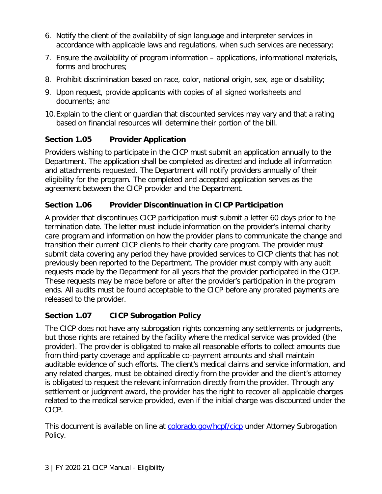- 6. Notify the client of the availability of sign language and interpreter services in accordance with applicable laws and regulations, when such services are necessary;
- 7. Ensure the availability of program information applications, informational materials, forms and brochures;
- 8. Prohibit discrimination based on race, color, national origin, sex, age or disability;
- 9. Upon request, provide applicants with copies of all signed worksheets and documents; and
- 10.Explain to the client or guardian that discounted services may vary and that a rating based on financial resources will determine their portion of the bill.

### <span id="page-5-0"></span>**Section 1.05 Provider Application**

Providers wishing to participate in the CICP must submit an application annually to the Department. The application shall be completed as directed and include all information and attachments requested. The Department will notify providers annually of their eligibility for the program. The completed and accepted application serves as the agreement between the CICP provider and the Department.

## <span id="page-5-1"></span>**Section 1.06 Provider Discontinuation in CICP Participation**

A provider that discontinues CICP participation must submit a letter 60 days prior to the termination date. The letter must include information on the provider's internal charity care program and information on how the provider plans to communicate the change and transition their current CICP clients to their charity care program. The provider must submit data covering any period they have provided services to CICP clients that has not previously been reported to the Department. The provider must comply with any audit requests made by the Department for all years that the provider participated in the CICP. These requests may be made before or after the provider's participation in the program ends. All audits must be found acceptable to the CICP before any prorated payments are released to the provider.

### <span id="page-5-2"></span>**Section 1.07 CICP Subrogation Policy**

The CICP does not have any subrogation rights concerning any settlements or judgments, but those rights are retained by the facility where the medical service was provided (the provider). The provider is obligated to make all reasonable efforts to collect amounts due from third-party coverage and applicable co-payment amounts and shall maintain auditable evidence of such efforts. The client's medical claims and service information, and any related charges, must be obtained directly from the provider and the client's attorney is obligated to request the relevant information directly from the provider. Through any settlement or judgment award, the provider has the right to recover all applicable charges related to the medical service provided, even if the initial charge was discounted under the CICP.

This document is available on line at [colorado.gov/hcpf/cicp](https://www.colorado.gov/hcpf/cicp) under Attorney Subrogation Policy.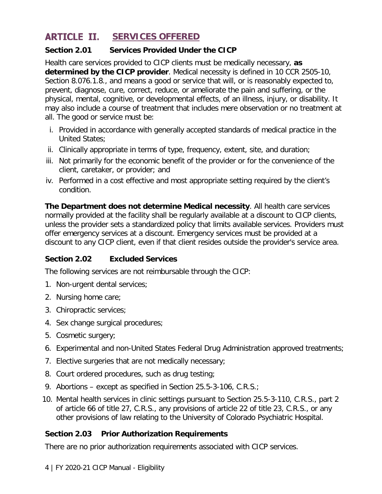#### <span id="page-6-0"></span>**ARTICLE II. SERVICES OFFERED**

#### <span id="page-6-1"></span>**Section 2.01 Services Provided Under the CICP**

Health care services provided to CICP clients must be medically necessary, **as determined by the CICP provider**. Medical necessity is defined in 10 CCR 2505-10, Section 8.076.1.8., and means a good or service that will, or is reasonably expected to, prevent, diagnose, cure, correct, reduce, or ameliorate the pain and suffering, or the physical, mental, cognitive, or developmental effects, of an illness, injury, or disability. It may also include a course of treatment that includes mere observation or no treatment at all. The good or service must be:

- i. Provided in accordance with generally accepted standards of medical practice in the United States;
- ii. Clinically appropriate in terms of type, frequency, extent, site, and duration;
- iii. Not primarily for the economic benefit of the provider or for the convenience of the client, caretaker, or provider; and
- iv. Performed in a cost effective and most appropriate setting required by the client's condition.

**The Department does not determine Medical necessity**. All health care services normally provided at the facility shall be regularly available at a discount to CICP clients, unless the provider sets a standardized policy that limits available services. Providers must offer emergency services at a discount. Emergency services must be provided at a discount to any CICP client, even if that client resides outside the provider's service area.

#### <span id="page-6-2"></span>**Section 2.02 Excluded Services**

The following services are not reimbursable through the CICP:

- 1. Non-urgent dental services;
- 2. Nursing home care;
- 3. Chiropractic services;
- 4. Sex change surgical procedures;
- 5. Cosmetic surgery;
- 6. Experimental and non-United States Federal Drug Administration approved treatments;
- 7. Elective surgeries that are not medically necessary;
- 8. Court ordered procedures, such as drug testing;
- 9. Abortions except as specified in Section 25.5-3-106, C.R.S.;
- 10. Mental health services in clinic settings pursuant to Section 25.5-3-110, C.R.S., part 2 of article 66 of title 27, C.R.S., any provisions of article 22 of title 23, C.R.S., or any other provisions of law relating to the University of Colorado Psychiatric Hospital.

#### <span id="page-6-3"></span>**Section 2.03 Prior Authorization Requirements**

There are no prior authorization requirements associated with CICP services.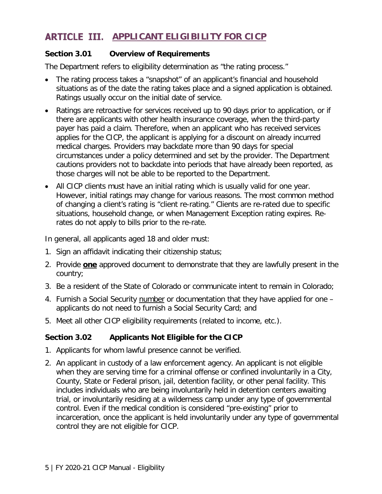## <span id="page-7-0"></span>**ARTICLE III.** APPLICANT ELIGIBILITY FOR CICP

#### <span id="page-7-1"></span>**Section 3.01 Overview of Requirements**

The Department refers to eligibility determination as "the rating process."

- The rating process takes a "snapshot" of an applicant's financial and household situations as of the date the rating takes place and a signed application is obtained. Ratings usually occur on the initial date of service.
- Ratings are retroactive for services received up to 90 days prior to application, or if there are applicants with other health insurance coverage, when the third-party payer has paid a claim. Therefore, when an applicant who has received services applies for the CICP, the applicant is applying for a discount on already incurred medical charges. Providers may backdate more than 90 days for special circumstances under a policy determined and set by the provider. The Department cautions providers not to backdate into periods that have already been reported, as those charges will not be able to be reported to the Department.
- All CICP clients must have an initial rating which is usually valid for one year. However, initial ratings may change for various reasons. The most common method of changing a client's rating is "client re-rating." Clients are re-rated due to specific situations, household change, or when Management Exception rating expires. Rerates do not apply to bills prior to the re-rate.

In general, all applicants aged 18 and older must:

- 1. Sign an affidavit indicating their citizenship status;
- 2. Provide **one** approved document to demonstrate that they are lawfully present in the country;
- 3. Be a resident of the State of Colorado or communicate intent to remain in Colorado;
- 4. Furnish a Social Security number or documentation that they have applied for one applicants do not need to furnish a Social Security Card; and
- 5. Meet all other CICP eligibility requirements (related to income, etc.).

#### <span id="page-7-2"></span>**Section 3.02 Applicants Not Eligible for the CICP**

- 1. Applicants for whom lawful presence cannot be verified.
- 2. An applicant in custody of a law enforcement agency. An applicant is not eligible when they are serving time for a criminal offense or confined involuntarily in a City, County, State or Federal prison, jail, detention facility, or other penal facility. This includes individuals who are being involuntarily held in detention centers awaiting trial, or involuntarily residing at a wilderness camp under any type of governmental control. Even if the medical condition is considered "pre-existing" prior to incarceration, once the applicant is held involuntarily under any type of governmental control they are not eligible for CICP.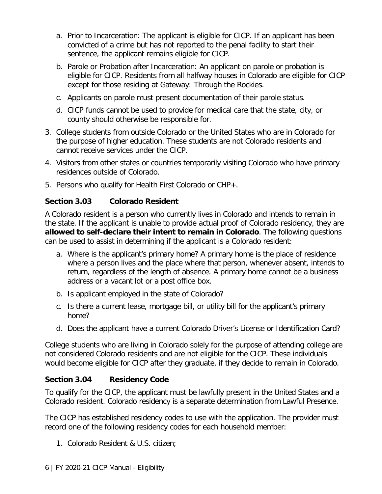- a. Prior to Incarceration: The applicant is eligible for CICP. If an applicant has been convicted of a crime but has not reported to the penal facility to start their sentence, the applicant remains eligible for CICP.
- b. Parole or Probation after Incarceration: An applicant on parole or probation is eligible for CICP. Residents from all halfway houses in Colorado are eligible for CICP except for those residing at Gateway: Through the Rockies.
- c. Applicants on parole must present documentation of their parole status.
- d. CICP funds cannot be used to provide for medical care that the state, city, or county should otherwise be responsible for.
- 3. College students from outside Colorado or the United States who are in Colorado for the purpose of higher education. These students are not Colorado residents and cannot receive services under the CICP.
- 4. Visitors from other states or countries temporarily visiting Colorado who have primary residences outside of Colorado.
- 5. Persons who qualify for Health First Colorado or CHP+.

#### <span id="page-8-0"></span>**Section 3.03 Colorado Resident**

A Colorado resident is a person who currently lives in Colorado and intends to remain in the state. If the applicant is unable to provide actual proof of Colorado residency, they are **allowed to self-declare their intent to remain in Colorado**. The following questions can be used to assist in determining if the applicant is a Colorado resident:

- a. Where is the applicant's primary home? A primary home is the place of residence where a person lives and the place where that person, whenever absent, intends to return, regardless of the length of absence. A primary home cannot be a business address or a vacant lot or a post office box.
- b. Is applicant employed in the state of Colorado?
- c. Is there a current lease, mortgage bill, or utility bill for the applicant's primary home?
- d. Does the applicant have a current Colorado Driver's License or Identification Card?

College students who are living in Colorado solely for the purpose of attending college are not considered Colorado residents and are not eligible for the CICP. These individuals would become eligible for CICP after they graduate, if they decide to remain in Colorado.

#### <span id="page-8-1"></span>**Section 3.04 Residency Code**

To qualify for the CICP, the applicant must be lawfully present in the United States and a Colorado resident. Colorado residency is a separate determination from Lawful Presence.

The CICP has established residency codes to use with the application. The provider must record one of the following residency codes for each household member:

1. Colorado Resident & U.S. citizen;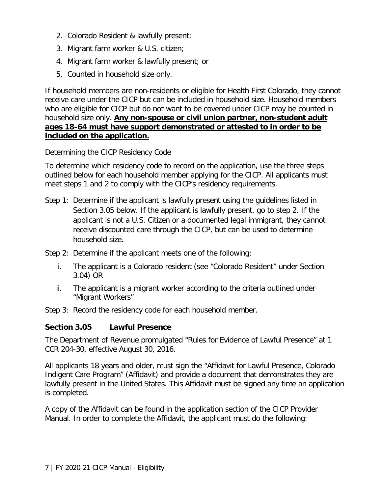- 2. Colorado Resident & lawfully present;
- 3. Migrant farm worker & U.S. citizen;
- 4. Migrant farm worker & lawfully present; or
- 5. Counted in household size only.

If household members are non-residents or eligible for Health First Colorado, they cannot receive care under the CICP but can be included in household size. Household members who are eligible for CICP but do not want to be covered under CICP may be counted in household size only. **Any non-spouse or civil union partner, non-student adult ages 18-64 must have support demonstrated or attested to in order to be included on the application.**

#### Determining the CICP Residency Code

To determine which residency code to record on the application, use the three steps outlined below for each household member applying for the CICP. All applicants must meet steps 1 and 2 to comply with the CICP's residency requirements.

- Step 1: Determine if the applicant is lawfully present using the guidelines listed in Section 3.05 below. If the applicant is lawfully present, go to step 2. If the applicant is not a U.S. Citizen or a documented legal immigrant, they cannot receive discounted care through the CICP, but can be used to determine household size.
- Step 2: Determine if the applicant meets one of the following:
	- i. The applicant is a Colorado resident (see "Colorado Resident" under Section 3.04) OR
	- ii. The applicant is a migrant worker according to the criteria outlined under "Migrant Workers"
- Step 3: Record the residency code for each household member.

#### <span id="page-9-0"></span>**Section 3.05 Lawful Presence**

The Department of Revenue promulgated "Rules for Evidence of Lawful Presence" at 1 CCR 204-30, effective August 30, 2016.

All applicants 18 years and older, must sign the "Affidavit for Lawful Presence, Colorado Indigent Care Program" (Affidavit) and provide a document that demonstrates they are lawfully present in the United States. This Affidavit must be signed any time an application is completed.

A copy of the Affidavit can be found in the application section of the CICP Provider Manual. In order to complete the Affidavit, the applicant must do the following: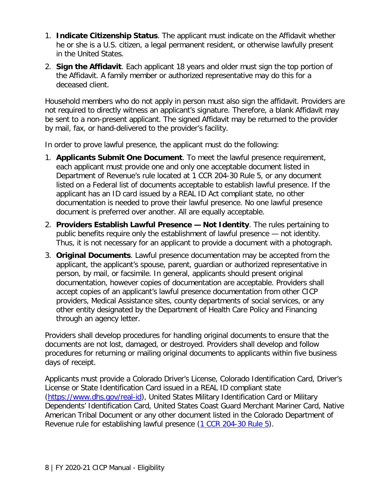- 1. **Indicate Citizenship Status**. The applicant must indicate on the Affidavit whether he or she is a U.S. citizen, a legal permanent resident, or otherwise lawfully present in the United States.
- 2. **Sign the Affidavit**. Each applicant 18 years and older must sign the top portion of the Affidavit. A family member or authorized representative may do this for a deceased client.

Household members who do not apply in person must also sign the affidavit. Providers are not required to directly witness an applicant's signature. Therefore, a blank Affidavit may be sent to a non-present applicant. The signed Affidavit may be returned to the provider by mail, fax, or hand-delivered to the provider's facility.

In order to prove lawful presence, the applicant must do the following:

- 1. **Applicants Submit One Document**. To meet the lawful presence requirement, each applicant must provide one and only one acceptable document listed in Department of Revenue's rule located at 1 CCR 204-30 Rule 5, or any document listed on a Federal list of documents acceptable to establish lawful presence. If the applicant has an ID card issued by a REAL ID Act compliant state, no other documentation is needed to prove their lawful presence. No one lawful presence document is preferred over another. All are equally acceptable.
- 2. **Providers Establish Lawful Presence — Not Identity**. The rules pertaining to public benefits require only the establishment of lawful presence — not identity. Thus, it is not necessary for an applicant to provide a document with a photograph.
- 3. **Original Documents**. Lawful presence documentation may be accepted from the applicant, the applicant's spouse, parent, guardian or authorized representative in person, by mail, or facsimile. In general, applicants should present original documentation, however copies of documentation are acceptable. Providers shall accept copies of an applicant's lawful presence documentation from other CICP providers, Medical Assistance sites, county departments of social services, or any other entity designated by the Department of Health Care Policy and Financing through an agency letter.

Providers shall develop procedures for handling original documents to ensure that the documents are not lost, damaged, or destroyed. Providers shall develop and follow procedures for returning or mailing original documents to applicants within five business days of receipt.

Applicants must provide a Colorado Driver's License, Colorado Identification Card, Driver's License or State Identification Card issued in a REAL ID compliant state [\(https://www.dhs.gov/real-id\)](https://www.dhs.gov/real-id), United States Military Identification Card or Military Dependents' Identification Card, United States Coast Guard Merchant Mariner Card, Native American Tribal Document or any other document listed in the Colorado Department of Revenue rule for establishing lawful presence [\(1 CCR 204-30 Rule 5\)](http://www.sos.state.co.us/CCR/GenerateRulePdf.do?ruleVersionId=7516&fileName=1%20CCR%20204-30).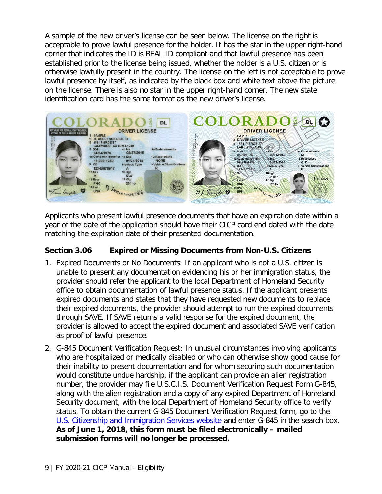A sample of the new driver's license can be seen below. The license on the right is acceptable to prove lawful presence for the holder. It has the star in the upper right-hand corner that indicates the ID is REAL ID compliant and that lawful presence has been established prior to the license being issued, whether the holder is a U.S. citizen or is otherwise lawfully present in the country. The license on the left is not acceptable to prove lawful presence by itself, as indicated by the black box and white text above the picture on the license. There is also no star in the upper right-hand corner. The new state identification card has the same format as the new driver's license.



Applicants who present lawful presence documents that have an expiration date within a year of the date of the application should have their CICP card end dated with the date matching the expiration date of their presented documentation.

#### <span id="page-11-0"></span>**Section 3.06 Expired or Missing Documents from Non-U.S. Citizens**

- 1. Expired Documents or No Documents: If an applicant who is not a U.S. citizen is unable to present any documentation evidencing his or her immigration status, the provider should refer the applicant to the local Department of Homeland Security office to obtain documentation of lawful presence status. If the applicant presents expired documents and states that they have requested new documents to replace their expired documents, the provider should attempt to run the expired documents through SAVE. If SAVE returns a valid response for the expired document, the provider is allowed to accept the expired document and associated SAVE verification as proof of lawful presence.
- 2. G-845 Document Verification Request: In unusual circumstances involving applicants who are hospitalized or medically disabled or who can otherwise show good cause for their inability to present documentation and for whom securing such documentation would constitute undue hardship, if the applicant can provide an alien registration number, the provider may file U.S.C.I.S. Document Verification Request Form G-845, along with the alien registration and a copy of any expired Department of Homeland Security document, with the local Department of Homeland Security office to verify status. To obtain the current G-845 Document Verification Request form, go to the [U.S. Citizenship and Immigration Services website](http://www.uscis.gov/) and enter G-845 in the search box. **As of June 1, 2018, this form must be filed electronically – mailed submission forms will no longer be processed.**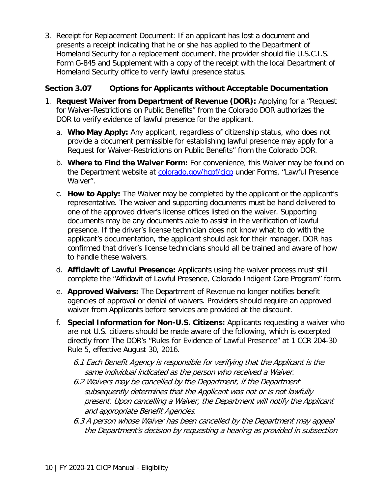3. Receipt for Replacement Document: If an applicant has lost a document and presents a receipt indicating that he or she has applied to the Department of Homeland Security for a replacement document, the provider should file U.S.C.I.S. Form G-845 and Supplement with a copy of the receipt with the local Department of Homeland Security office to verify lawful presence status.

#### <span id="page-12-0"></span>**Section 3.07 Options for Applicants without Acceptable Documentation**

- 1. **Request Waiver from Department of Revenue (DOR):** Applying for a "Request for Waiver-Restrictions on Public Benefits" from the Colorado DOR authorizes the DOR to verify evidence of lawful presence for the applicant.
	- a. **Who May Apply:** Any applicant, regardless of citizenship status, who does not provide a document permissible for establishing lawful presence may apply for a Request for Waiver-Restrictions on Public Benefits" from the Colorado DOR.
	- b. **Where to Find the Waiver Form:** For convenience, this Waiver may be found on the Department website at [colorado.gov/hcpf/cicp](https://www.colorado.gov/hcpf/cicp) under Forms, "Lawful Presence Waiver".
	- c. **How to Apply:** The Waiver may be completed by the applicant or the applicant's representative. The waiver and supporting documents must be hand delivered to one of the approved driver's license offices listed on the waiver. Supporting documents may be any documents able to assist in the verification of lawful presence. If the driver's license technician does not know what to do with the applicant's documentation, the applicant should ask for their manager. DOR has confirmed that driver's license technicians should all be trained and aware of how to handle these waivers.
	- d. **Affidavit of Lawful Presence:** Applicants using the waiver process must still complete the "Affidavit of Lawful Presence, Colorado Indigent Care Program" form.
	- e. **Approved Waivers:** The Department of Revenue no longer notifies benefit agencies of approval or denial of waivers. Providers should require an approved waiver from Applicants before services are provided at the discount.
	- f. **Special Information for Non-U.S. Citizens:** Applicants requesting a waiver who are not U.S. citizens should be made aware of the following, which is excerpted directly from The DOR's "Rules for Evidence of Lawful Presence" at 1 CCR 204-30 Rule 5, effective August 30, 2016.
		- 6.1 Each Benefit Agency is responsible for verifying that the Applicant is the same individual indicated as the person who received a Waiver.
		- 6.2 Waivers may be cancelled by the Department, if the Department subsequently determines that the Applicant was not or is not lawfully present. Upon cancelling a Waiver, the Department will notify the Applicant and appropriate Benefit Agencies.
		- 6.3 A person whose Waiver has been cancelled by the Department may appeal the Department's decision by requesting a hearing as provided in subsection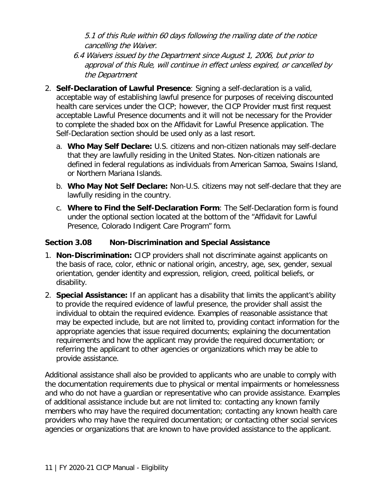5.1 of this Rule within 60 days following the mailing date of the notice cancelling the Waiver.

- 6.4 Waivers issued by the Department since August 1, 2006, but prior to approval of this Rule, will continue in effect unless expired, or cancelled by the Department
- 2. **Self-Declaration of Lawful Presence**: Signing a self-declaration is a valid, acceptable way of establishing lawful presence for purposes of receiving discounted health care services under the CICP; however, the CICP Provider must first request acceptable Lawful Presence documents and it will not be necessary for the Provider to complete the shaded box on the Affidavit for Lawful Presence application. The Self-Declaration section should be used only as a last resort.
	- a. **Who May Self Declare:** U.S. citizens and non-citizen nationals may self-declare that they are lawfully residing in the United States. Non-citizen nationals are defined in federal regulations as individuals from American Samoa, Swains Island, or Northern Mariana Islands.
	- b. **Who May Not Self Declare:** Non-U.S. citizens may not self-declare that they are lawfully residing in the country.
	- c. **Where to Find the Self-Declaration Form**: The Self-Declaration form is found under the optional section located at the bottom of the "Affidavit for Lawful Presence, Colorado Indigent Care Program" form.

#### <span id="page-13-0"></span>**Section 3.08 Non-Discrimination and Special Assistance**

- 1. **Non-Discrimination:** CICP providers shall not discriminate against applicants on the basis of race, color, ethnic or national origin, ancestry, age, sex, gender, sexual orientation, gender identity and expression, religion, creed, political beliefs, or disability.
- 2. **Special Assistance:** If an applicant has a disability that limits the applicant's ability to provide the required evidence of lawful presence, the provider shall assist the individual to obtain the required evidence. Examples of reasonable assistance that may be expected include, but are not limited to, providing contact information for the appropriate agencies that issue required documents; explaining the documentation requirements and how the applicant may provide the required documentation; or referring the applicant to other agencies or organizations which may be able to provide assistance.

Additional assistance shall also be provided to applicants who are unable to comply with the documentation requirements due to physical or mental impairments or homelessness and who do not have a guardian or representative who can provide assistance. Examples of additional assistance include but are not limited to: contacting any known family members who may have the required documentation; contacting any known health care providers who may have the required documentation; or contacting other social services agencies or organizations that are known to have provided assistance to the applicant.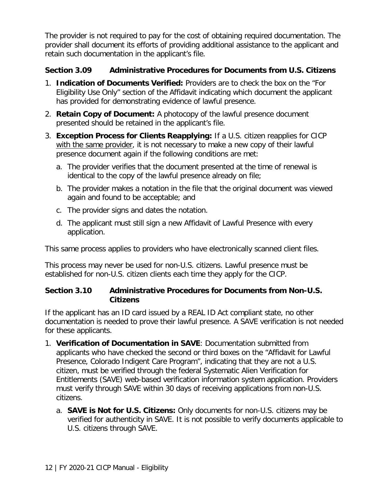The provider is not required to pay for the cost of obtaining required documentation. The provider shall document its efforts of providing additional assistance to the applicant and retain such documentation in the applicant's file.

#### <span id="page-14-0"></span>**Section 3.09 Administrative Procedures for Documents from U.S. Citizens**

- 1. **Indication of Documents Verified:** Providers are to check the box on the "For Eligibility Use Only" section of the Affidavit indicating which document the applicant has provided for demonstrating evidence of lawful presence.
- 2. **Retain Copy of Document:** A photocopy of the lawful presence document presented should be retained in the applicant's file.
- 3. **Exception Process for Clients Reapplying:** If a U.S. citizen reapplies for CICP with the same provider, it is not necessary to make a new copy of their lawful presence document again if the following conditions are met:
	- a. The provider verifies that the document presented at the time of renewal is identical to the copy of the lawful presence already on file;
	- b. The provider makes a notation in the file that the original document was viewed again and found to be acceptable; and
	- c. The provider signs and dates the notation.
	- d. The applicant must still sign a new Affidavit of Lawful Presence with every application.

This same process applies to providers who have electronically scanned client files.

This process may never be used for non-U.S. citizens. Lawful presence must be established for non-U.S. citizen clients each time they apply for the CICP.

#### <span id="page-14-1"></span>**Section 3.10 Administrative Procedures for Documents from Non-U.S. Citizens**

If the applicant has an ID card issued by a REAL ID Act compliant state, no other documentation is needed to prove their lawful presence. A SAVE verification is not needed for these applicants.

- 1. **Verification of Documentation in SAVE**: Documentation submitted from applicants who have checked the second or third boxes on the "Affidavit for Lawful Presence, Colorado Indigent Care Program", indicating that they are not a U.S. citizen, must be verified through the federal Systematic Alien Verification for Entitlements (SAVE) web-based verification information system application. Providers must verify through SAVE within 30 days of receiving applications from non-U.S. citizens.
	- a. **SAVE is Not for U.S. Citizens:** Only documents for non-U.S. citizens may be verified for authenticity in SAVE. It is not possible to verify documents applicable to U.S. citizens through SAVE.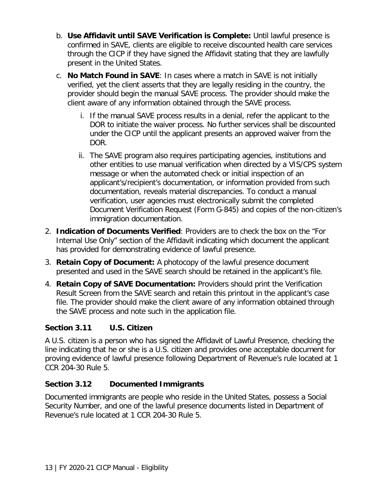- b. **Use Affidavit until SAVE Verification is Complete:** Until lawful presence is confirmed in SAVE, clients are eligible to receive discounted health care services through the CICP if they have signed the Affidavit stating that they are lawfully present in the United States.
- c. **No Match Found in SAVE**: In cases where a match in SAVE is not initially verified, yet the client asserts that they are legally residing in the country, the provider should begin the manual SAVE process. The provider should make the client aware of any information obtained through the SAVE process.
	- i. If the manual SAVE process results in a denial, refer the applicant to the DOR to initiate the waiver process. No further services shall be discounted under the CICP until the applicant presents an approved waiver from the DOR.
	- ii. The SAVE program also requires participating agencies, institutions and other entities to use manual verification when directed by a VIS/CPS system message or when the automated check or initial inspection of an applicant's/recipient's documentation, or information provided from such documentation, reveals material discrepancies. To conduct a manual verification, user agencies must electronically submit the completed Document Verification Request (Form G-845) and copies of the non-citizen's immigration documentation.
- 2. **Indication of Documents Verified**: Providers are to check the box on the "For Internal Use Only" section of the Affidavit indicating which document the applicant has provided for demonstrating evidence of lawful presence.
- 3. **Retain Copy of Document:** A photocopy of the lawful presence document presented and used in the SAVE search should be retained in the applicant's file.
- 4. **Retain Copy of SAVE Documentation:** Providers should print the Verification Result Screen from the SAVE search and retain this printout in the applicant's case file. The provider should make the client aware of any information obtained through the SAVE process and note such in the application file.

### <span id="page-15-0"></span>**Section 3.11 U.S. Citizen**

A U.S. citizen is a person who has signed the Affidavit of Lawful Presence, checking the line indicating that he or she is a U.S. citizen and provides one acceptable document for proving evidence of lawful presence following Department of Revenue's rule located at 1 CCR 204-30 Rule 5.

### <span id="page-15-1"></span>**Section 3.12 Documented Immigrants**

Documented immigrants are people who reside in the United States, possess a Social Security Number, and one of the lawful presence documents listed in Department of Revenue's rule located at 1 CCR 204-30 Rule 5.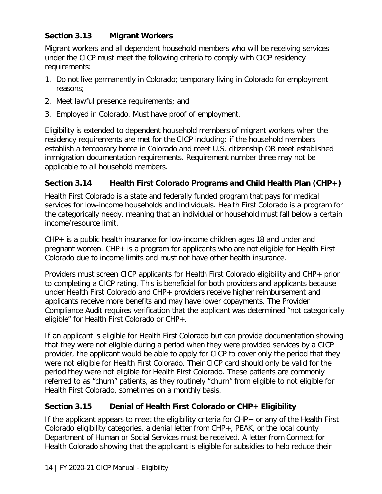#### <span id="page-16-0"></span>**Section 3.13 Migrant Workers**

Migrant workers and all dependent household members who will be receiving services under the CICP must meet the following criteria to comply with CICP residency requirements:

- 1. Do not live permanently in Colorado; temporary living in Colorado for employment reasons;
- 2. Meet lawful presence requirements; and
- 3. Employed in Colorado. Must have proof of employment.

Eligibility is extended to dependent household members of migrant workers when the residency requirements are met for the CICP including: if the household members establish a temporary home in Colorado and meet U.S. citizenship OR meet established immigration documentation requirements. Requirement number three may not be applicable to all household members.

#### <span id="page-16-1"></span>**Section 3.14 Health First Colorado Programs and Child Health Plan (CHP+)**

Health First Colorado is a state and federally funded program that pays for medical services for low-income households and individuals. Health First Colorado is a program for the categorically needy, meaning that an individual or household must fall below a certain income/resource limit.

CHP+ is a public health insurance for low-income children ages 18 and under and pregnant women. CHP+ is a program for applicants who are not eligible for Health First Colorado due to income limits and must not have other health insurance.

Providers must screen CICP applicants for Health First Colorado eligibility and CHP+ prior to completing a CICP rating. This is beneficial for both providers and applicants because under Health First Colorado and CHP+ providers receive higher reimbursement and applicants receive more benefits and may have lower copayments. The Provider Compliance Audit requires verification that the applicant was determined "not categorically eligible" for Health First Colorado or CHP+.

If an applicant is eligible for Health First Colorado but can provide documentation showing that they were not eligible during a period when they were provided services by a CICP provider, the applicant would be able to apply for CICP to cover only the period that they were not eligible for Health First Colorado. Their CICP card should only be valid for the period they were not eligible for Health First Colorado. These patients are commonly referred to as "churn" patients, as they routinely "churn" from eligible to not eligible for Health First Colorado, sometimes on a monthly basis.

#### <span id="page-16-2"></span>**Section 3.15 Denial of Health First Colorado or CHP+ Eligibility**

If the applicant appears to meet the eligibility criteria for CHP+ or any of the Health First Colorado eligibility categories, a denial letter from CHP+, PEAK, or the local county Department of Human or Social Services must be received. A letter from Connect for Health Colorado showing that the applicant is eligible for subsidies to help reduce their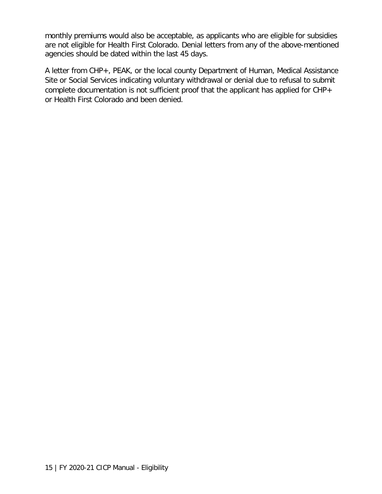monthly premiums would also be acceptable, as applicants who are eligible for subsidies are not eligible for Health First Colorado. Denial letters from any of the above-mentioned agencies should be dated within the last 45 days.

A letter from CHP+, PEAK, or the local county Department of Human, Medical Assistance Site or Social Services indicating voluntary withdrawal or denial due to refusal to submit complete documentation is not sufficient proof that the applicant has applied for CHP+ or Health First Colorado and been denied.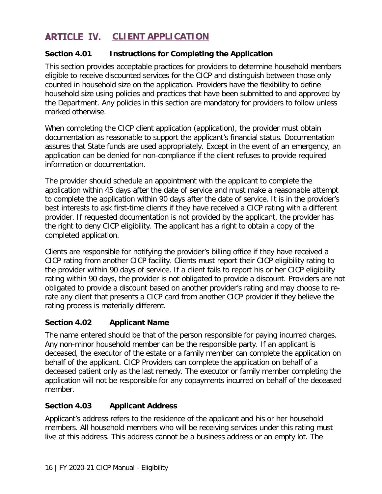# <span id="page-18-0"></span>**ARTICLE IV.** CLIENT APPLICATION

#### <span id="page-18-1"></span>**Section 4.01 Instructions for Completing the Application**

This section provides acceptable practices for providers to determine household members eligible to receive discounted services for the CICP and distinguish between those only counted in household size on the application. Providers have the flexibility to define household size using policies and practices that have been submitted to and approved by the Department. Any policies in this section are mandatory for providers to follow unless marked otherwise.

When completing the CICP client application (application), the provider must obtain documentation as reasonable to support the applicant's financial status. Documentation assures that State funds are used appropriately. Except in the event of an emergency, an application can be denied for non-compliance if the client refuses to provide required information or documentation.

The provider should schedule an appointment with the applicant to complete the application within 45 days after the date of service and must make a reasonable attempt to complete the application within 90 days after the date of service. It is in the provider's best interests to ask first-time clients if they have received a CICP rating with a different provider. If requested documentation is not provided by the applicant, the provider has the right to deny CICP eligibility. The applicant has a right to obtain a copy of the completed application.

Clients are responsible for notifying the provider's billing office if they have received a CICP rating from another CICP facility. Clients must report their CICP eligibility rating to the provider within 90 days of service. If a client fails to report his or her CICP eligibility rating within 90 days, the provider is not obligated to provide a discount. Providers are not obligated to provide a discount based on another provider's rating and may choose to rerate any client that presents a CICP card from another CICP provider if they believe the rating process is materially different.

#### <span id="page-18-2"></span>**Section 4.02 Applicant Name**

The name entered should be that of the person responsible for paying incurred charges. Any non-minor household member can be the responsible party. If an applicant is deceased, the executor of the estate or a family member can complete the application on behalf of the applicant. CICP Providers can complete the application on behalf of a deceased patient only as the last remedy. The executor or family member completing the application will not be responsible for any copayments incurred on behalf of the deceased member.

#### <span id="page-18-3"></span>**Section 4.03 Applicant Address**

Applicant's address refers to the residence of the applicant and his or her household members. All household members who will be receiving services under this rating must live at this address. This address cannot be a business address or an empty lot. The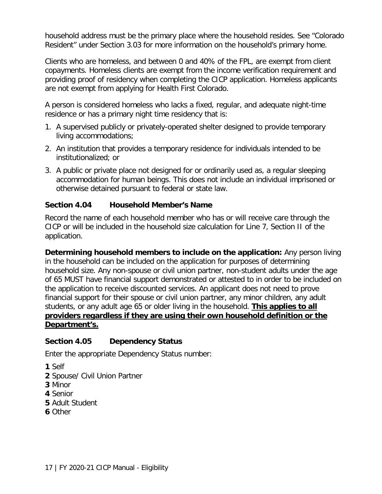household address must be the primary place where the household resides. See "Colorado Resident" under Section 3.03 for more information on the household's primary home.

Clients who are homeless, and between 0 and 40% of the FPL, are exempt from client copayments. Homeless clients are exempt from the income verification requirement and providing proof of residency when completing the CICP application. Homeless applicants are not exempt from applying for Health First Colorado.

A person is considered homeless who lacks a fixed, regular, and adequate night-time residence or has a primary night time residency that is:

- 1. A supervised publicly or privately-operated shelter designed to provide temporary living accommodations;
- 2. An institution that provides a temporary residence for individuals intended to be institutionalized; or
- 3. A public or private place not designed for or ordinarily used as, a regular sleeping accommodation for human beings. This does not include an individual imprisoned or otherwise detained pursuant to federal or state law.

#### <span id="page-19-0"></span>**Section 4.04 Household Member's Name**

Record the name of each household member who has or will receive care through the CICP or will be included in the household size calculation for Line 7, Section II of the application.

**Determining household members to include on the application:** Any person living in the household can be included on the application for purposes of determining household size. Any non-spouse or civil union partner, non-student adults under the age of 65 MUST have financial support demonstrated or attested to in order to be included on the application to receive discounted services. An applicant does not need to prove financial support for their spouse or civil union partner, any minor children, any adult students, or any adult age 65 or older living in the household. **This applies to all providers regardless if they are using their own household definition or the Department's.**

#### <span id="page-19-1"></span>**Section 4.05 Dependency Status**

Enter the appropriate Dependency Status number:

- **1** Self
- **2** Spouse/ Civil Union Partner
- **3** Minor
- **4** Senior
- **5** Adult Student
- **6** Other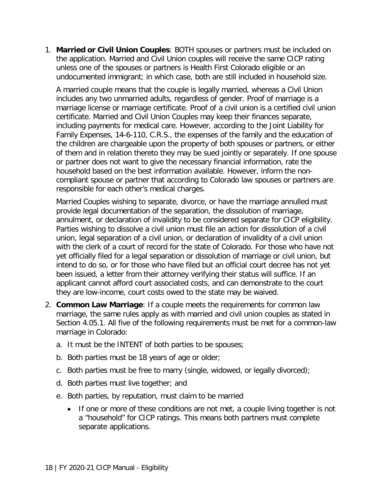1. **Married or Civil Union Couples**: BOTH spouses or partners must be included on the application. Married and Civil Union couples will receive the same CICP rating unless one of the spouses or partners is Health First Colorado eligible or an undocumented immigrant; in which case, both are still included in household size.

A married couple means that the couple is legally married, whereas a Civil Union includes any two unmarried adults, regardless of gender. Proof of marriage is a marriage license or marriage certificate. Proof of a civil union is a certified civil union certificate. Married and Civil Union Couples may keep their finances separate, including payments for medical care. However, according to the Joint Liability for Family Expenses, 14-6-110, C.R.S., the expenses of the family and the education of the children are chargeable upon the property of both spouses or partners, or either of them and in relation thereto they may be sued jointly or separately. If one spouse or partner does not want to give the necessary financial information, rate the household based on the best information available. However, inform the noncompliant spouse or partner that according to Colorado law spouses or partners are responsible for each other's medical charges.

Married Couples wishing to separate, divorce, or have the marriage annulled must provide legal documentation of the separation, the dissolution of marriage, annulment, or declaration of invalidity to be considered separate for CICP eligibility. Parties wishing to dissolve a civil union must file an action for dissolution of a civil union, legal separation of a civil union, or declaration of invalidity of a civil union with the clerk of a court of record for the state of Colorado. For those who have not yet officially filed for a legal separation or dissolution of marriage or civil union, but intend to do so, or for those who have filed but an official court decree has not yet been issued, a letter from their attorney verifying their status will suffice. If an applicant cannot afford court associated costs, and can demonstrate to the court they are low-income, court costs owed to the state may be waived.

- 2. **Common Law Marriage**: If a couple meets the requirements for common law marriage, the same rules apply as with married and civil union couples as stated in Section 4.05.1. All five of the following requirements must be met for a common-law marriage in Colorado:
	- a. It must be the INTENT of both parties to be spouses;
	- b. Both parties must be 18 years of age or older;
	- c. Both parties must be free to marry (single, widowed, or legally divorced);
	- d. Both parties must live together; and
	- e. Both parties, by reputation, must claim to be married
		- If one or more of these conditions are not met, a couple living together is not a "household" for CICP ratings. This means both partners must complete separate applications.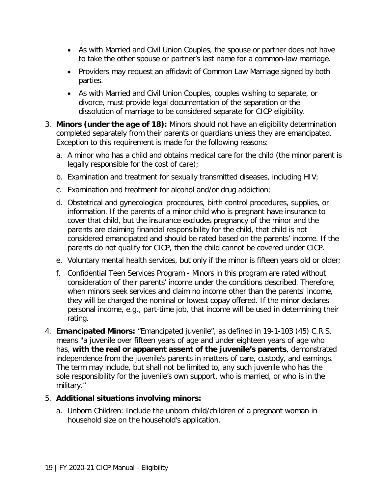- As with Married and Civil Union Couples, the spouse or partner does not have to take the other spouse or partner's last name for a common-law marriage.
- Providers may request an affidavit of Common Law Marriage signed by both parties.
- As with Married and Civil Union Couples, couples wishing to separate, or divorce, must provide legal documentation of the separation or the dissolution of marriage to be considered separate for CICP eligibility.
- 3. **Minors (under the age of 18):** Minors should not have an eligibility determination completed separately from their parents or guardians unless they are emancipated. Exception to this requirement is made for the following reasons:
	- a. A minor who has a child and obtains medical care for the child (the minor parent is legally responsible for the cost of care);
	- b. Examination and treatment for sexually transmitted diseases, including HIV;
	- c. Examination and treatment for alcohol and/or drug addiction;
	- d. Obstetrical and gynecological procedures, birth control procedures, supplies, or information. If the parents of a minor child who is pregnant have insurance to cover that child, but the insurance excludes pregnancy of the minor and the parents are claiming financial responsibility for the child, that child is not considered emancipated and should be rated based on the parents' income. If the parents do not qualify for CICP, then the child cannot be covered under CICP.
	- e. Voluntary mental health services, but only if the minor is fifteen years old or older;
	- f. Confidential Teen Services Program Minors in this program are rated without consideration of their parents' income under the conditions described. Therefore, when minors seek services and claim no income other than the parents' income, they will be charged the nominal or lowest copay offered. If the minor declares personal income, e.g., part-time job, that income will be used in determining their rating.
- 4. **Emancipated Minors:** "Emancipated juvenile", as defined in 19-1-103 (45) C.R.S, means "a juvenile over fifteen years of age and under eighteen years of age who has, **with the real or apparent assent of the juvenile's parents**, demonstrated independence from the juvenile's parents in matters of care, custody, and earnings. The term may include, but shall not be limited to, any such juvenile who has the sole responsibility for the juvenile's own support, who is married, or who is in the military."

#### 5. **Additional situations involving minors:**

a. Unborn Children: Include the unborn child/children of a pregnant woman in household size on the household's application.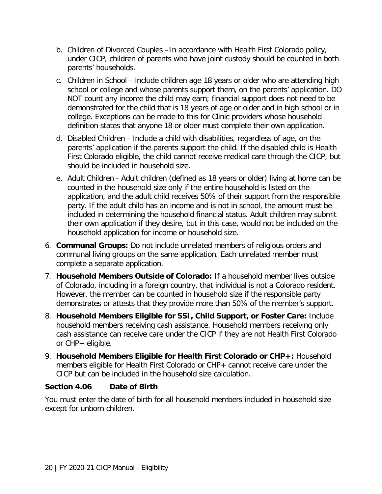- b. Children of Divorced Couples –In accordance with Health First Colorado policy, under CICP, children of parents who have joint custody should be counted in both parents' households.
- c. Children in School Include children age 18 years or older who are attending high school or college and whose parents support them, on the parents' application. DO NOT count any income the child may earn; financial support does not need to be demonstrated for the child that is 18 years of age or older and in high school or in college. Exceptions can be made to this for Clinic providers whose household definition states that anyone 18 or older must complete their own application.
- d. Disabled Children Include a child with disabilities, regardless of age, on the parents' application if the parents support the child. If the disabled child is Health First Colorado eligible, the child cannot receive medical care through the CICP, but should be included in household size.
- e. Adult Children Adult children (defined as 18 years or older) living at home can be counted in the household size only if the entire household is listed on the application, and the adult child receives 50% of their support from the responsible party. If the adult child has an income and is not in school, the amount must be included in determining the household financial status. Adult children may submit their own application if they desire, but in this case, would not be included on the household application for income or household size.
- 6. **Communal Groups:** Do not include unrelated members of religious orders and communal living groups on the same application. Each unrelated member must complete a separate application.
- 7. **Household Members Outside of Colorado:** If a household member lives outside of Colorado, including in a foreign country, that individual is not a Colorado resident. However, the member can be counted in household size if the responsible party demonstrates or attests that they provide more than 50% of the member's support.
- 8. **Household Members Eligible for SSI, Child Support, or Foster Care:** Include household members receiving cash assistance. Household members receiving only cash assistance can receive care under the CICP if they are not Health First Colorado or CHP+ eligible.
- 9. **Household Members Eligible for Health First Colorado or CHP+:** Household members eligible for Health First Colorado or CHP+ cannot receive care under the CICP but can be included in the household size calculation.

#### <span id="page-22-0"></span>**Section 4.06 Date of Birth**

You must enter the date of birth for all household members included in household size except for unborn children.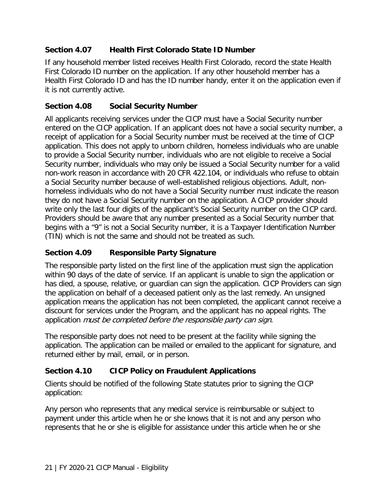#### <span id="page-23-0"></span>**Section 4.07 Health First Colorado State ID Number**

If any household member listed receives Health First Colorado, record the state Health First Colorado ID number on the application. If any other household member has a Health First Colorado ID and has the ID number handy, enter it on the application even if it is not currently active.

#### <span id="page-23-1"></span>**Section 4.08 Social Security Number**

All applicants receiving services under the CICP must have a Social Security number entered on the CICP application. If an applicant does not have a social security number, a receipt of application for a Social Security number must be received at the time of CICP application. This does not apply to unborn children, homeless individuals who are unable to provide a Social Security number, individuals who are not eligible to receive a Social Security number, individuals who may only be issued a Social Security number for a valid non-work reason in accordance with 20 CFR 422.104, or individuals who refuse to obtain a Social Security number because of well-established religious objections. Adult, nonhomeless individuals who do not have a Social Security number must indicate the reason they do not have a Social Security number on the application. A CICP provider should write only the last four digits of the applicant's Social Security number on the CICP card. Providers should be aware that any number presented as a Social Security number that begins with a "9" is not a Social Security number, it is a Taxpayer Identification Number (TIN) which is not the same and should not be treated as such.

#### <span id="page-23-2"></span>**Section 4.09 Responsible Party Signature**

The responsible party listed on the first line of the application must sign the application within 90 days of the date of service. If an applicant is unable to sign the application or has died, a spouse, relative, or guardian can sign the application. CICP Providers can sign the application on behalf of a deceased patient only as the last remedy. An unsigned application means the application has not been completed, the applicant cannot receive a discount for services under the Program, and the applicant has no appeal rights. The application must be completed before the responsible party can sign.

The responsible party does not need to be present at the facility while signing the application. The application can be mailed or emailed to the applicant for signature, and returned either by mail, email, or in person.

#### <span id="page-23-3"></span>**Section 4.10 CICP Policy on Fraudulent Applications**

Clients should be notified of the following State statutes prior to signing the CICP application:

Any person who represents that any medical service is reimbursable or subject to payment under this article when he or she knows that it is not and any person who represents that he or she is eligible for assistance under this article when he or she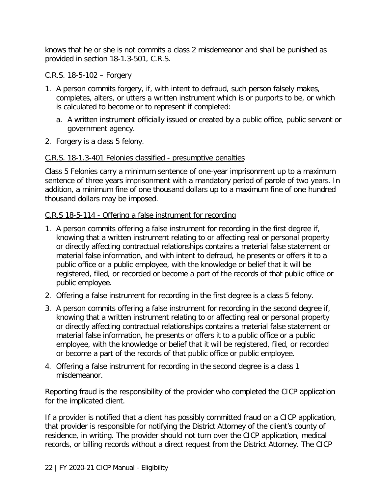knows that he or she is not commits a class 2 misdemeanor and shall be punished as provided in section 18-1.3-501, C.R.S.

#### C.R.S. 18-5-102 – Forgery

- 1. A person commits forgery, if, with intent to defraud, such person falsely makes, completes, alters, or utters a written instrument which is or purports to be, or which is calculated to become or to represent if completed:
	- a. A written instrument officially issued or created by a public office, public servant or government agency.
- 2. Forgery is a class 5 felony.

#### C.R.S. 18-1.3-401 Felonies classified - presumptive penalties

Class 5 Felonies carry a minimum sentence of one-year imprisonment up to a maximum sentence of three years imprisonment with a mandatory period of parole of two years. In addition, a minimum fine of one thousand dollars up to a maximum fine of one hundred thousand dollars may be imposed.

#### C.R.S 18-5-114 - Offering a false instrument for recording

- 1. A person commits offering a false instrument for recording in the first degree if, knowing that a written instrument relating to or affecting real or personal property or directly affecting contractual relationships contains a material false statement or material false information, and with intent to defraud, he presents or offers it to a public office or a public employee, with the knowledge or belief that it will be registered, filed, or recorded or become a part of the records of that public office or public employee.
- 2. Offering a false instrument for recording in the first degree is a class 5 felony.
- 3. A person commits offering a false instrument for recording in the second degree if, knowing that a written instrument relating to or affecting real or personal property or directly affecting contractual relationships contains a material false statement or material false information, he presents or offers it to a public office or a public employee, with the knowledge or belief that it will be registered, filed, or recorded or become a part of the records of that public office or public employee.
- 4. Offering a false instrument for recording in the second degree is a class 1 misdemeanor.

Reporting fraud is the responsibility of the provider who completed the CICP application for the implicated client.

If a provider is notified that a client has possibly committed fraud on a CICP application, that provider is responsible for notifying the District Attorney of the client's county of residence, in writing. The provider should not turn over the CICP application, medical records, or billing records without a direct request from the District Attorney. The CICP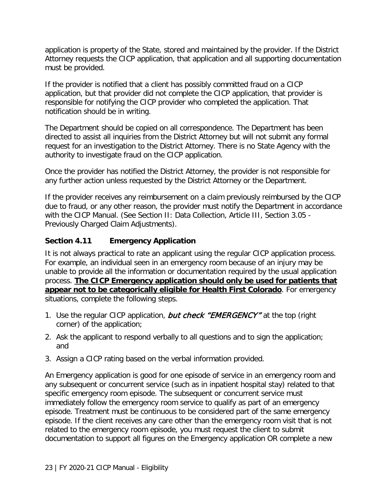application is property of the State, stored and maintained by the provider. If the District Attorney requests the CICP application, that application and all supporting documentation must be provided.

If the provider is notified that a client has possibly committed fraud on a CICP application, but that provider did not complete the CICP application, that provider is responsible for notifying the CICP provider who completed the application. That notification should be in writing.

The Department should be copied on all correspondence. The Department has been directed to assist all inquiries from the District Attorney but will not submit any formal request for an investigation to the District Attorney. There is no State Agency with the authority to investigate fraud on the CICP application.

Once the provider has notified the District Attorney, the provider is not responsible for any further action unless requested by the District Attorney or the Department.

If the provider receives any reimbursement on a claim previously reimbursed by the CICP due to fraud, or any other reason, the provider must notify the Department in accordance with the CICP Manual. (See Section II: Data Collection, Article III, Section 3.05 - Previously Charged Claim Adjustments).

#### <span id="page-25-0"></span>**Section 4.11 Emergency Application**

It is not always practical to rate an applicant using the regular CICP application process. For example, an individual seen in an emergency room because of an injury may be unable to provide all the information or documentation required by the usual application process. **The CICP Emergency application should only be used for patients that appear not to be categorically eligible for Health First Colorado**. For emergency situations, complete the following steps.

- 1. Use the regular CICP application, but check "EMERGENCY" at the top (right corner) of the application;
- 2. Ask the applicant to respond verbally to all questions and to sign the application; and
- 3. Assign a CICP rating based on the verbal information provided.

An Emergency application is good for one episode of service in an emergency room and any subsequent or concurrent service (such as in inpatient hospital stay) related to that specific emergency room episode. The subsequent or concurrent service must immediately follow the emergency room service to qualify as part of an emergency episode. Treatment must be continuous to be considered part of the same emergency episode. If the client receives any care other than the emergency room visit that is not related to the emergency room episode, you must request the client to submit documentation to support all figures on the Emergency application OR complete a new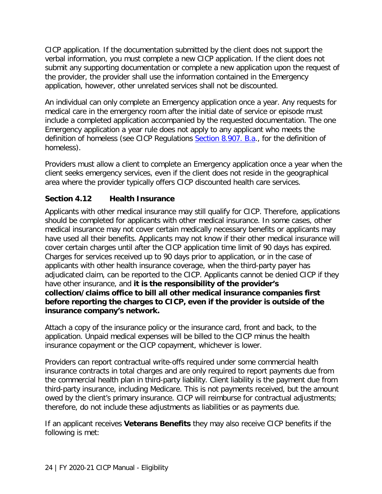CICP application. If the documentation submitted by the client does not support the verbal information, you must complete a new CICP application. If the client does not submit any supporting documentation or complete a new application upon the request of the provider, the provider shall use the information contained in the Emergency application, however, other unrelated services shall not be discounted.

An individual can only complete an Emergency application once a year. Any requests for medical care in the emergency room after the initial date of service or episode must include a completed application accompanied by the requested documentation. The one Emergency application a year rule does not apply to any applicant who meets the definition of homeless (see CICP Regulations [Section 8.907. B.a.](http://www.sos.state.co.us/CCR/DisplayRule.do?action=ruleinfo&ruleId=2926&deptID=7&agencyID=69&deptName=Department%20of%20Health%20Care%20Policy%20and%20Financing&agencyName=Medical%20Services%20Board%20(Volume%208;%20Medical%20Assistance,%20Children%27s%20Health%20Plan)&seriesNum=10%20CCR%202505-10%208.900), for the definition of homeless).

Providers must allow a client to complete an Emergency application once a year when the client seeks emergency services, even if the client does not reside in the geographical area where the provider typically offers CICP discounted health care services.

#### <span id="page-26-0"></span>**Section 4.12 Health Insurance**

Applicants with other medical insurance may still qualify for CICP. Therefore, applications should be completed for applicants with other medical insurance. In some cases, other medical insurance may not cover certain medically necessary benefits or applicants may have used all their benefits. Applicants may not know if their other medical insurance will cover certain charges until after the CICP application time limit of 90 days has expired. Charges for services received up to 90 days prior to application, or in the case of applicants with other health insurance coverage, when the third-party payer has adjudicated claim, can be reported to the CICP. Applicants cannot be denied CICP if they have other insurance, and **it is the responsibility of the provider's collection/claims office to bill all other medical insurance companies first before reporting the charges to CICP, even if the provider is outside of the insurance company's network.**

Attach a copy of the insurance policy or the insurance card, front and back, to the application. Unpaid medical expenses will be billed to the CICP minus the health insurance copayment or the CICP copayment, whichever is lower.

Providers can report contractual write-offs required under some commercial health insurance contracts in total charges and are only required to report payments due from the commercial health plan in third-party liability. Client liability is the payment due from third-party insurance, including Medicare. This is not payments received, but the amount owed by the client's primary insurance. CICP will reimburse for contractual adjustments; therefore, do not include these adjustments as liabilities or as payments due.

If an applicant receives **Veterans Benefits** they may also receive CICP benefits if the following is met: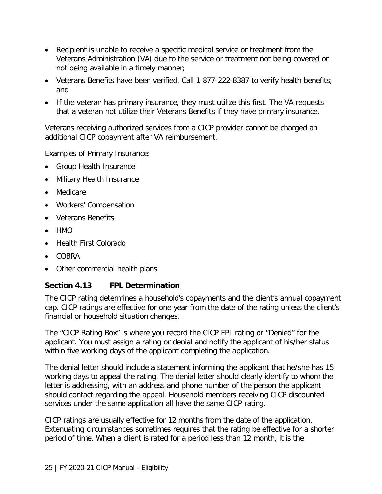- Recipient is unable to receive a specific medical service or treatment from the Veterans Administration (VA) due to the service or treatment not being covered or not being available in a timely manner;
- Veterans Benefits have been verified. Call 1-877-222-8387 to verify health benefits; and
- If the veteran has primary insurance, they must utilize this first. The VA requests that a veteran not utilize their Veterans Benefits if they have primary insurance.

Veterans receiving authorized services from a CICP provider cannot be charged an additional CICP copayment after VA reimbursement.

Examples of Primary Insurance:

- Group Health Insurance
- Military Health Insurance
- Medicare
- Workers' Compensation
- Veterans Benefits
- $\bullet$  HMO
- Health First Colorado
- COBRA
- Other commercial health plans

#### <span id="page-27-0"></span>**Section 4.13 FPL Determination**

The CICP rating determines a household's copayments and the client's annual copayment cap. CICP ratings are effective for one year from the date of the rating unless the client's financial or household situation changes.

The "CICP Rating Box" is where you record the CICP FPL rating or "Denied" for the applicant. You must assign a rating or denial and notify the applicant of his/her status within five working days of the applicant completing the application.

The denial letter should include a statement informing the applicant that he/she has 15 working days to appeal the rating. The denial letter should clearly identify to whom the letter is addressing, with an address and phone number of the person the applicant should contact regarding the appeal. Household members receiving CICP discounted services under the same application all have the same CICP rating.

CICP ratings are usually effective for 12 months from the date of the application. Extenuating circumstances sometimes requires that the rating be effective for a shorter period of time. When a client is rated for a period less than 12 month, it is the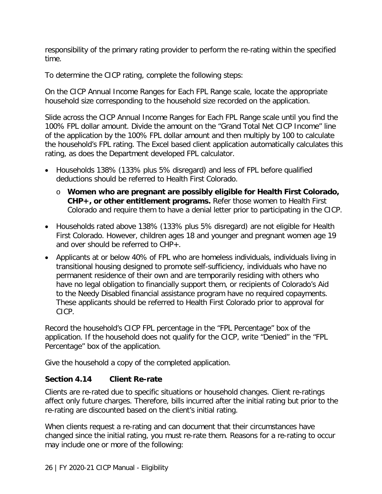responsibility of the primary rating provider to perform the re-rating within the specified time.

To determine the CICP rating, complete the following steps:

On the CICP Annual Income Ranges for Each FPL Range scale, locate the appropriate household size corresponding to the household size recorded on the application.

Slide across the CICP Annual Income Ranges for Each FPL Range scale until you find the 100% FPL dollar amount. Divide the amount on the "Grand Total Net CICP Income" line of the application by the 100% FPL dollar amount and then multiply by 100 to calculate the household's FPL rating. The Excel based client application automatically calculates this rating, as does the Department developed FPL calculator.

- Households 138% (133% plus 5% disregard) and less of FPL before qualified deductions should be referred to Health First Colorado.
	- o **Women who are pregnant are possibly eligible for Health First Colorado, CHP+, or other entitlement programs.** Refer those women to Health First Colorado and require them to have a denial letter prior to participating in the CICP.
- Households rated above 138% (133% plus 5% disregard) are not eligible for Health First Colorado. However, children ages 18 and younger and pregnant women age 19 and over should be referred to CHP+.
- Applicants at or below 40% of FPL who are homeless individuals, individuals living in transitional housing designed to promote self-sufficiency, individuals who have no permanent residence of their own and are temporarily residing with others who have no legal obligation to financially support them, or recipients of Colorado's Aid to the Needy Disabled financial assistance program have no required copayments. These applicants should be referred to Health First Colorado prior to approval for CICP.

Record the household's CICP FPL percentage in the "FPL Percentage" box of the application. If the household does not qualify for the CICP, write "Denied" in the "FPL Percentage" box of the application.

Give the household a copy of the completed application.

#### <span id="page-28-0"></span>**Section 4.14 Client Re-rate**

Clients are re-rated due to specific situations or household changes. Client re-ratings affect only future charges. Therefore, bills incurred after the initial rating but prior to the re-rating are discounted based on the client's initial rating.

When clients request a re-rating and can document that their circumstances have changed since the initial rating, you must re-rate them. Reasons for a re-rating to occur may include one or more of the following: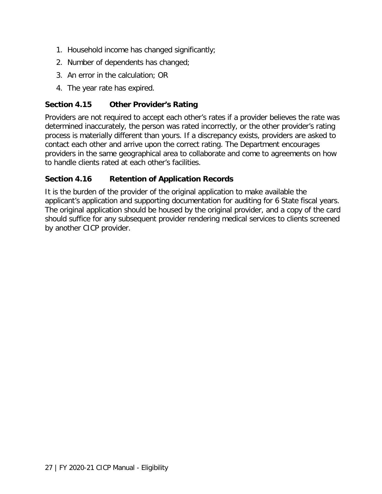- 1. Household income has changed significantly;
- 2. Number of dependents has changed;
- 3. An error in the calculation; OR
- 4. The year rate has expired.

#### <span id="page-29-0"></span>**Section 4.15 Other Provider's Rating**

Providers are not required to accept each other's rates if a provider believes the rate was determined inaccurately, the person was rated incorrectly, or the other provider's rating process is materially different than yours. If a discrepancy exists, providers are asked to contact each other and arrive upon the correct rating. The Department encourages providers in the same geographical area to collaborate and come to agreements on how to handle clients rated at each other's facilities.

#### <span id="page-29-1"></span>**Section 4.16 Retention of Application Records**

It is the burden of the provider of the original application to make available the applicant's application and supporting documentation for auditing for 6 State fiscal years. The original application should be housed by the original provider, and a copy of the card should suffice for any subsequent provider rendering medical services to clients screened by another CICP provider.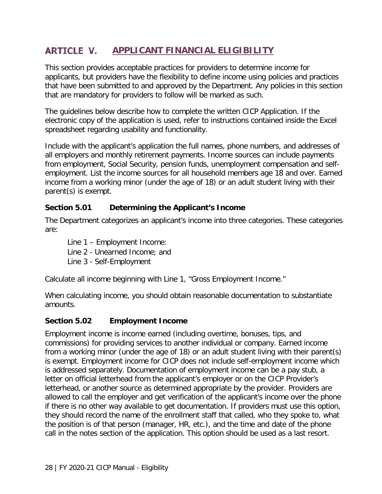#### <span id="page-30-0"></span>**ARTICLE V. APPLICANT FINANCIAL ELIGIBILITY**

This section provides acceptable practices for providers to determine income for applicants, but providers have the flexibility to define income using policies and practices that have been submitted to and approved by the Department. Any policies in this section that are mandatory for providers to follow will be marked as such.

The guidelines below describe how to complete the written CICP Application. If the electronic copy of the application is used, refer to instructions contained inside the Excel spreadsheet regarding usability and functionality.

Include with the applicant's application the full names, phone numbers, and addresses of all employers and monthly retirement payments. Income sources can include payments from employment, Social Security, pension funds, unemployment compensation and selfemployment. List the income sources for all household members age 18 and over. Earned income from a working minor (under the age of 18) or an adult student living with their parent(s) is exempt.

#### <span id="page-30-1"></span>**Section 5.01 Determining the Applicant's Income**

The Department categorizes an applicant's income into three categories. These categories are:

Line 1 – Employment Income: Line 2 - Unearned Income; and Line 3 - Self-Employment

Calculate all income beginning with Line 1, "Gross Employment Income."

When calculating income, you should obtain reasonable documentation to substantiate amounts.

#### <span id="page-30-2"></span>**Section 5.02 Employment Income**

Employment income is income earned (including overtime, bonuses, tips, and commissions) for providing services to another individual or company. Earned income from a working minor (under the age of 18) or an adult student living with their parent(s) is exempt. Employment income for CICP does not include self-employment income which is addressed separately. Documentation of employment income can be a pay stub, a letter on official letterhead from the applicant's employer or on the CICP Provider's letterhead, or another source as determined appropriate by the provider. Providers are allowed to call the employer and get verification of the applicant's income over the phone if there is no other way available to get documentation. If providers must use this option, they should record the name of the enrollment staff that called, who they spoke to, what the position is of that person (manager, HR, etc.), and the time and date of the phone call in the notes section of the application. This option should be used as a last resort.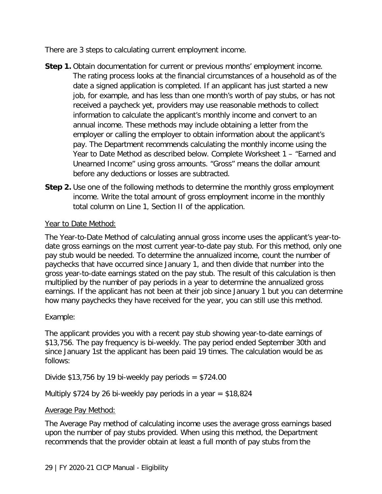There are 3 steps to calculating current employment income.

- **Step 1.** Obtain documentation for current or previous months' employment income. The rating process looks at the financial circumstances of a household as of the date a signed application is completed. If an applicant has just started a new job, for example, and has less than one month's worth of pay stubs, or has not received a paycheck yet, providers may use reasonable methods to collect information to calculate the applicant's monthly income and convert to an annual income. These methods may include obtaining a letter from the employer or calling the employer to obtain information about the applicant's pay. The Department recommends calculating the monthly income using the Year to Date Method as described below. Complete Worksheet 1 – "Earned and Unearned Income" using gross amounts. "Gross" means the dollar amount before any deductions or losses are subtracted.
- **Step 2.** Use one of the following methods to determine the monthly gross employment income. Write the total amount of gross employment income in the monthly total column on Line 1, Section II of the application.

#### Year to Date Method:

The Year-to-Date Method of calculating annual gross income uses the applicant's year-todate gross earnings on the most current year-to-date pay stub. For this method, only one pay stub would be needed. To determine the annualized income, count the number of paychecks that have occurred since January 1, and then divide that number into the gross year-to-date earnings stated on the pay stub. The result of this calculation is then multiplied by the number of pay periods in a year to determine the annualized gross earnings. If the applicant has not been at their job since January 1 but you can determine how many paychecks they have received for the year, you can still use this method.

#### Example:

The applicant provides you with a recent pay stub showing year-to-date earnings of \$13,756. The pay frequency is bi-weekly. The pay period ended September 30th and since January 1st the applicant has been paid 19 times. The calculation would be as follows:

Divide  $$13,756$  by 19 bi-weekly pay periods =  $$724.00$ 

Multiply \$724 by 26 bi-weekly pay periods in a year  $=$  \$18,824

### Average Pay Method:

The Average Pay method of calculating income uses the average gross earnings based upon the number of pay stubs provided. When using this method, the Department recommends that the provider obtain at least a full month of pay stubs from the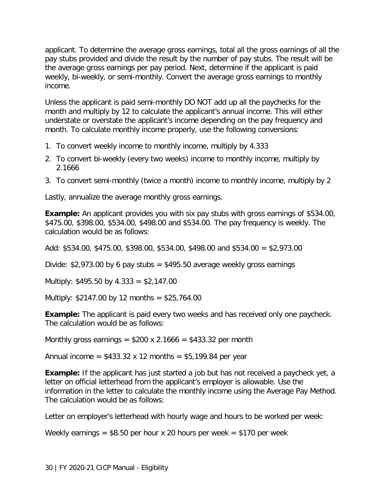applicant. To determine the average gross earnings, total all the gross earnings of all the pay stubs provided and divide the result by the number of pay stubs. The result will be the average gross earnings per pay period. Next, determine if the applicant is paid weekly, bi-weekly, or semi-monthly. Convert the average gross earnings to monthly income.

Unless the applicant is paid semi-monthly DO NOT add up all the paychecks for the month and multiply by 12 to calculate the applicant's annual income. This will either understate or overstate the applicant's income depending on the pay frequency and month. To calculate monthly income properly, use the following conversions:

- 1. To convert weekly income to monthly income, multiply by 4.333
- 2. To convert bi-weekly (every two weeks) income to monthly income, multiply by 2.1666
- 3. To convert semi-monthly (twice a month) income to monthly income, multiply by 2

Lastly, annualize the average monthly gross earnings.

**Example:** An applicant provides you with six pay stubs with gross earnings of \$534.00, \$475.00, \$398.00, \$534.00, \$498.00 and \$534.00. The pay frequency is weekly. The calculation would be as follows:

Add: \$534.00, \$475.00, \$398.00, \$534.00, \$498.00 and \$534.00 = \$2,973.00

Divide:  $$2,973.00$  by 6 pay stubs =  $$495.50$  average weekly gross earnings

Multiply:  $$495.50$  by  $4.333 = $2,147.00$ 

Multiply:  $$2147.00$  by 12 months =  $$25,764.00$ 

**Example:** The applicant is paid every two weeks and has received only one paycheck. The calculation would be as follows:

Monthly gross earnings =  $$200 \times 2.1666 = $433.32$  per month

Annual income =  $$433.32 \times 12 \text{ months} = $5,199.84 \text{ per year}$ 

**Example:** If the applicant has just started a job but has not received a paycheck yet, a letter on official letterhead from the applicant's employer is allowable. Use the information in the letter to calculate the monthly income using the Average Pay Method. The calculation would be as follows:

Letter on employer's letterhead with hourly wage and hours to be worked per week:

Weekly earnings =  $$8.50$  per hour x 20 hours per week =  $$170$  per week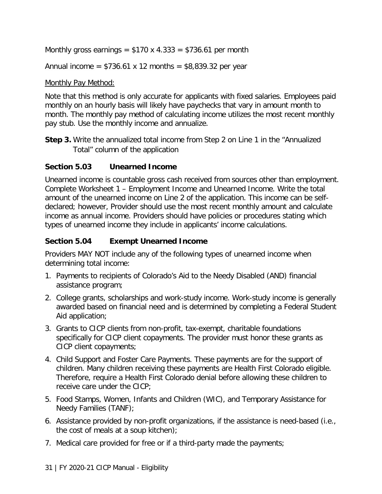Monthly gross earnings =  $$170 \times 4.333 = $736.61$  per month

Annual income =  $$736.61 \times 12$  months =  $$8,839.32$  per year

#### Monthly Pay Method:

Note that this method is only accurate for applicants with fixed salaries. Employees paid monthly on an hourly basis will likely have paychecks that vary in amount month to month. The monthly pay method of calculating income utilizes the most recent monthly pay stub. Use the monthly income and annualize.

**Step 3.** Write the annualized total income from Step 2 on Line 1 in the "Annualized" Total" column of the application

#### <span id="page-33-0"></span>**Section 5.03 Unearned Income**

Unearned income is countable gross cash received from sources other than employment. Complete Worksheet 1 – Employment Income and Unearned Income. Write the total amount of the unearned income on Line 2 of the application. This income can be selfdeclared; however, Provider should use the most recent monthly amount and calculate income as annual income. Providers should have policies or procedures stating which types of unearned income they include in applicants' income calculations.

#### <span id="page-33-1"></span>**Section 5.04 Exempt Unearned Income**

Providers MAY NOT include any of the following types of unearned income when determining total income:

- 1. Payments to recipients of Colorado's Aid to the Needy Disabled (AND) financial assistance program;
- 2. College grants, scholarships and work-study income. Work-study income is generally awarded based on financial need and is determined by completing a Federal Student Aid application;
- 3. Grants to CICP clients from non-profit, tax-exempt, charitable foundations specifically for CICP client copayments. The provider must honor these grants as CICP client copayments;
- 4. Child Support and Foster Care Payments. These payments are for the support of children. Many children receiving these payments are Health First Colorado eligible. Therefore, require a Health First Colorado denial before allowing these children to receive care under the CICP;
- 5. Food Stamps, Women, Infants and Children (WIC), and Temporary Assistance for Needy Families (TANF);
- 6. Assistance provided by non-profit organizations, if the assistance is need-based (i.e., the cost of meals at a soup kitchen);
- 7. Medical care provided for free or if a third-party made the payments;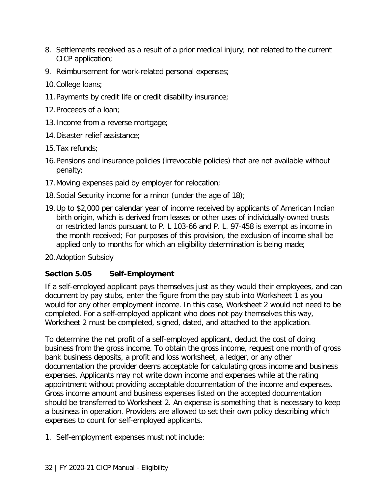- 8. Settlements received as a result of a prior medical injury; not related to the current CICP application;
- 9. Reimbursement for work-related personal expenses;
- 10.College loans;
- 11.Payments by credit life or credit disability insurance;
- 12.Proceeds of a loan;
- 13.Income from a reverse mortgage;
- 14.Disaster relief assistance;
- 15.Tax refunds;
- 16.Pensions and insurance policies (irrevocable policies) that are not available without penalty;
- 17.Moving expenses paid by employer for relocation;
- 18.Social Security income for a minor (under the age of 18);
- 19.Up to \$2,000 per calendar year of income received by applicants of American Indian birth origin, which is derived from leases or other uses of individually-owned trusts or restricted lands pursuant to P. L 103-66 and P. L. 97-458 is exempt as income in the month received; For purposes of this provision, the exclusion of income shall be applied only to months for which an eligibility determination is being made;
- 20.Adoption Subsidy

#### <span id="page-34-0"></span>**Section 5.05 Self-Employment**

If a self-employed applicant pays themselves just as they would their employees, and can document by pay stubs, enter the figure from the pay stub into Worksheet 1 as you would for any other employment income. In this case, Worksheet 2 would not need to be completed. For a self-employed applicant who does not pay themselves this way, Worksheet 2 must be completed, signed, dated, and attached to the application.

To determine the net profit of a self-employed applicant, deduct the cost of doing business from the gross income. To obtain the gross income, request one month of gross bank business deposits, a profit and loss worksheet, a ledger, or any other documentation the provider deems acceptable for calculating gross income and business expenses. Applicants may not write down income and expenses while at the rating appointment without providing acceptable documentation of the income and expenses. Gross income amount and business expenses listed on the accepted documentation should be transferred to Worksheet 2. An expense is something that is necessary to keep a business in operation. Providers are allowed to set their own policy describing which expenses to count for self-employed applicants.

1. Self-employment expenses must not include: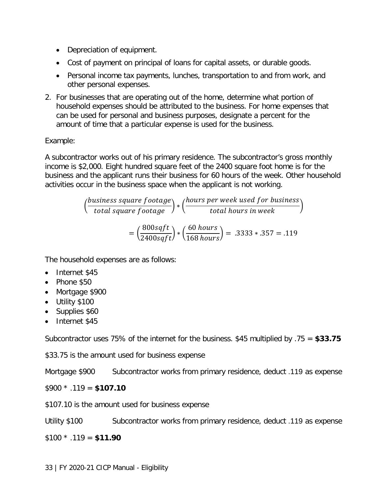- Depreciation of equipment.
- Cost of payment on principal of loans for capital assets, or durable goods.
- Personal income tax payments, lunches, transportation to and from work, and other personal expenses.
- 2. For businesses that are operating out of the home, determine what portion of household expenses should be attributed to the business. For home expenses that can be used for personal and business purposes, designate a percent for the amount of time that a particular expense is used for the business.

#### Example:

A subcontractor works out of his primary residence. The subcontractor's gross monthly income is \$2,000. Eight hundred square feet of the 2400 square foot home is for the business and the applicant runs their business for 60 hours of the week. Other household activities occur in the business space when the applicant is not working.

$$
\left(\frac{business\ square\ focused}{total\ square\ footage}\right) * \left(\frac{hours\ per\ week\ used\ for\ business}{total\ hours\ in\ week}\right)
$$

$$
= \left(\frac{800\sqrt{3}t}{2400\sqrt{3}t}\right) * \left(\frac{60\ hours}{168\ hours}\right) = .3333*.357 = .119
$$

The household expenses are as follows:

- Internet \$45
- Phone \$50
- Mortgage \$900
- Utility \$100
- Supplies \$60
- Internet \$45

Subcontractor uses 75% of the internet for the business. \$45 multiplied by .75 = **\$33.75**

\$33.75 is the amount used for business expense

Mortgage \$900 Subcontractor works from primary residence, deduct .119 as expense

\$900 \* .119 = **\$107.10**

\$107.10 is the amount used for business expense

Utility \$100 Subcontractor works from primary residence, deduct .119 as expense

\$100 \* .119 = **\$11.90**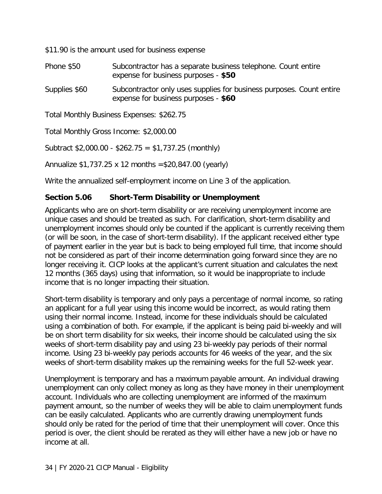\$11.90 is the amount used for business expense

| Phone \$50    | Subcontractor has a separate business telephone. Count entire<br>expense for business purposes - \$50 |
|---------------|-------------------------------------------------------------------------------------------------------|
| Supplies \$60 | Subcontractor only uses supplies for business purposes. Count entire                                  |

expense for business purposes - **\$60**

Total Monthly Business Expenses: \$262.75

Total Monthly Gross Income: \$2,000.00

Subtract  $$2,000.00 - $262.75 = $1,737.25$  (monthly)

Annualize \$1,737.25 x 12 months =\$20,847.00 (yearly)

Write the annualized self-employment income on Line 3 of the application.

#### <span id="page-36-0"></span>**Section 5.06 Short-Term Disability or Unemployment**

Applicants who are on short-term disability or are receiving unemployment income are unique cases and should be treated as such. For clarification, short-term disability and unemployment incomes should only be counted if the applicant is currently receiving them (or will be soon, in the case of short-term disability). If the applicant received either type of payment earlier in the year but is back to being employed full time, that income should not be considered as part of their income determination going forward since they are no longer receiving it. CICP looks at the applicant's current situation and calculates the next 12 months (365 days) using that information, so it would be inappropriate to include income that is no longer impacting their situation.

Short-term disability is temporary and only pays a percentage of normal income, so rating an applicant for a full year using this income would be incorrect, as would rating them using their normal income. Instead, income for these individuals should be calculated using a combination of both. For example, if the applicant is being paid bi-weekly and will be on short term disability for six weeks, their income should be calculated using the six weeks of short-term disability pay and using 23 bi-weekly pay periods of their normal income. Using 23 bi-weekly pay periods accounts for 46 weeks of the year, and the six weeks of short-term disability makes up the remaining weeks for the full 52-week year.

Unemployment is temporary and has a maximum payable amount. An individual drawing unemployment can only collect money as long as they have money in their unemployment account. Individuals who are collecting unemployment are informed of the maximum payment amount, so the number of weeks they will be able to claim unemployment funds can be easily calculated. Applicants who are currently drawing unemployment funds should only be rated for the period of time that their unemployment will cover. Once this period is over, the client should be rerated as they will either have a new job or have no income at all.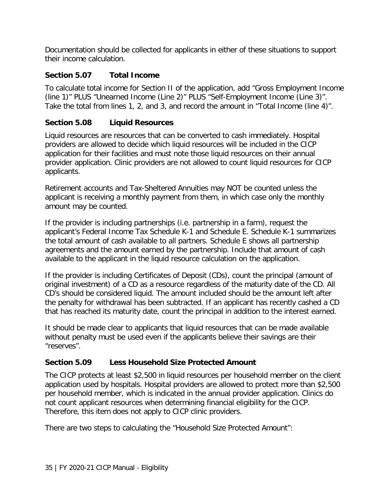Documentation should be collected for applicants in either of these situations to support their income calculation.

#### <span id="page-37-0"></span>**Section 5.07 Total Income**

To calculate total income for Section II of the application, add "Gross Employment Income (line 1)" PLUS "Unearned Income (Line 2)" PLUS "Self-Employment Income (Line 3)". Take the total from lines 1, 2, and 3, and record the amount in "Total Income (line 4)".

#### <span id="page-37-1"></span>**Section 5.08 Liquid Resources**

Liquid resources are resources that can be converted to cash immediately. Hospital providers are allowed to decide which liquid resources will be included in the CICP application for their facilities and must note those liquid resources on their annual provider application. Clinic providers are not allowed to count liquid resources for CICP applicants.

Retirement accounts and Tax-Sheltered Annuities may NOT be counted unless the applicant is receiving a monthly payment from them, in which case only the monthly amount may be counted.

If the provider is including partnerships (i.e. partnership in a farm), request the applicant's Federal Income Tax Schedule K-1 and Schedule E. Schedule K-1 summarizes the total amount of cash available to all partners. Schedule E shows all partnership agreements and the amount earned by the partnership. Include that amount of cash available to the applicant in the liquid resource calculation on the application.

If the provider is including Certificates of Deposit (CDs), count the principal (amount of original investment) of a CD as a resource regardless of the maturity date of the CD. All CD's should be considered liquid. The amount included should be the amount left after the penalty for withdrawal has been subtracted. If an applicant has recently cashed a CD that has reached its maturity date, count the principal in addition to the interest earned.

It should be made clear to applicants that liquid resources that can be made available without penalty must be used even if the applicants believe their savings are their "reserves".

#### <span id="page-37-2"></span>**Section 5.09 Less Household Size Protected Amount**

The CICP protects at least \$2,500 in liquid resources per household member on the client application used by hospitals. Hospital providers are allowed to protect more than \$2,500 per household member, which is indicated in the annual provider application. Clinics do not count applicant resources when determining financial eligibility for the CICP. Therefore, this item does not apply to CICP clinic providers.

There are two steps to calculating the "Household Size Protected Amount":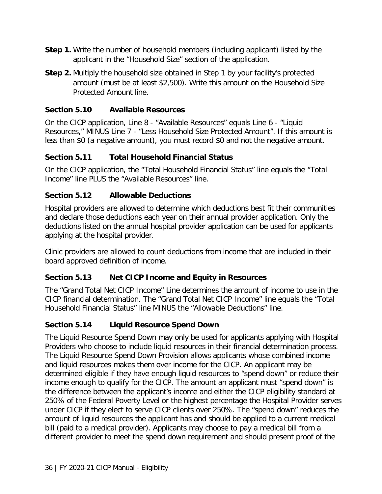- **Step 1.** Write the number of household members (including applicant) listed by the applicant in the "Household Size" section of the application.
- **Step 2.** Multiply the household size obtained in Step 1 by your facility's protected amount (must be at least \$2,500). Write this amount on the Household Size Protected Amount line.

#### <span id="page-38-0"></span>**Section 5.10 Available Resources**

On the CICP application, Line 8 - "Available Resources" equals Line 6 - "Liquid Resources," MINUS Line 7 - "Less Household Size Protected Amount". If this amount is less than \$0 (a negative amount), you must record \$0 and not the negative amount.

#### <span id="page-38-1"></span>**Section 5.11 Total Household Financial Status**

On the CICP application, the "Total Household Financial Status" line equals the "Total Income" line PLUS the "Available Resources" line.

#### <span id="page-38-2"></span>**Section 5.12 Allowable Deductions**

Hospital providers are allowed to determine which deductions best fit their communities and declare those deductions each year on their annual provider application. Only the deductions listed on the annual hospital provider application can be used for applicants applying at the hospital provider.

Clinic providers are allowed to count deductions from income that are included in their board approved definition of income.

#### <span id="page-38-3"></span>**Section 5.13 Net CICP Income and Equity in Resources**

The "Grand Total Net CICP Income" Line determines the amount of income to use in the CICP financial determination. The "Grand Total Net CICP Income" line equals the "Total Household Financial Status" line MINUS the "Allowable Deductions" line.

#### <span id="page-38-4"></span>**Section 5.14 Liquid Resource Spend Down**

The Liquid Resource Spend Down may only be used for applicants applying with Hospital Providers who choose to include liquid resources in their financial determination process. The Liquid Resource Spend Down Provision allows applicants whose combined income and liquid resources makes them over income for the CICP. An applicant may be determined eligible if they have enough liquid resources to "spend down" or reduce their income enough to qualify for the CICP. The amount an applicant must "spend down" is the difference between the applicant's income and either the CICP eligibility standard at 250% of the Federal Poverty Level or the highest percentage the Hospital Provider serves under CICP if they elect to serve CICP clients over 250%. The "spend down" reduces the amount of liquid resources the applicant has and should be applied to a current medical bill (paid to a medical provider). Applicants may choose to pay a medical bill from a different provider to meet the spend down requirement and should present proof of the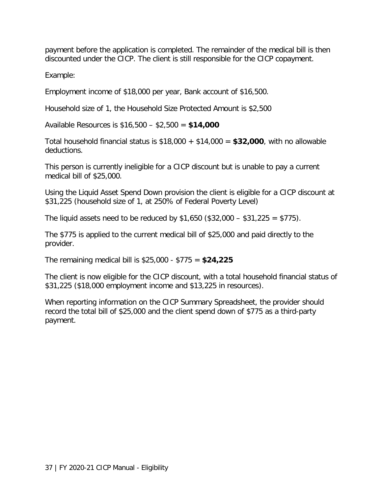payment before the application is completed. The remainder of the medical bill is then discounted under the CICP. The client is still responsible for the CICP copayment.

Example:

Employment income of \$18,000 per year, Bank account of \$16,500.

Household size of 1, the Household Size Protected Amount is \$2,500

Available Resources is \$16,500 – \$2,500 = **\$14,000**

Total household financial status is \$18,000 + \$14,000 = **\$32,000**, with no allowable deductions.

This person is currently ineligible for a CICP discount but is unable to pay a current medical bill of \$25,000.

Using the Liquid Asset Spend Down provision the client is eligible for a CICP discount at \$31,225 (household size of 1, at 250% of Federal Poverty Level)

The liquid assets need to be reduced by  $$1,650$   $(\$32,000 - \$31,225 = \$775)$ .

The \$775 is applied to the current medical bill of \$25,000 and paid directly to the provider.

The remaining medical bill is \$25,000 - \$775 = **\$24,225**

The client is now eligible for the CICP discount, with a total household financial status of \$31,225 (\$18,000 employment income and \$13,225 in resources).

When reporting information on the CICP Summary Spreadsheet, the provider should record the total bill of \$25,000 and the client spend down of \$775 as a third-party payment.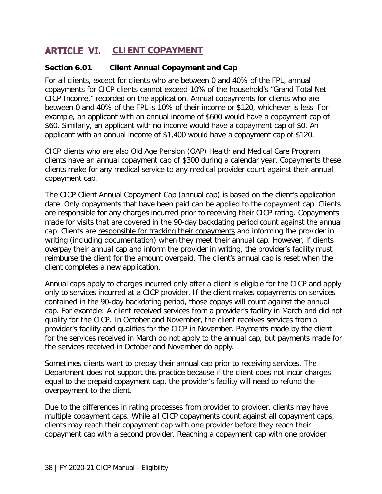## <span id="page-40-0"></span>**ARTICLE VI. CLIENT COPAYMENT**

#### <span id="page-40-1"></span>**Section 6.01 Client Annual Copayment and Cap**

For all clients, except for clients who are between 0 and 40% of the FPL, annual copayments for CICP clients cannot exceed 10% of the household's "Grand Total Net CICP Income," recorded on the application. Annual copayments for clients who are between 0 and 40% of the FPL is 10% of their income or \$120, whichever is less. For example, an applicant with an annual income of \$600 would have a copayment cap of \$60. Similarly, an applicant with no income would have a copayment cap of \$0. An applicant with an annual income of \$1,400 would have a copayment cap of \$120.

CICP clients who are also Old Age Pension (OAP) Health and Medical Care Program clients have an annual copayment cap of \$300 during a calendar year. Copayments these clients make for any medical service to any medical provider count against their annual copayment cap.

The CICP Client Annual Copayment Cap (annual cap) is based on the client's application date. Only copayments that have been paid can be applied to the copayment cap. Clients are responsible for any charges incurred prior to receiving their CICP rating. Copayments made for visits that are covered in the 90-day backdating period count against the annual cap. Clients are responsible for tracking their copayments and informing the provider in writing (including documentation) when they meet their annual cap. However, if clients overpay their annual cap and inform the provider in writing, the provider's facility must reimburse the client for the amount overpaid. The client's annual cap is reset when the client completes a new application.

Annual caps apply to charges incurred only after a client is eligible for the CICP and apply only to services incurred at a CICP provider. If the client makes copayments on services contained in the 90-day backdating period, those copays will count against the annual cap. For example: A client received services from a provider's facility in March and did not qualify for the CICP. In October and November, the client receives services from a provider's facility and qualifies for the CICP in November. Payments made by the client for the services received in March do not apply to the annual cap, but payments made for the services received in October and November do apply.

Sometimes clients want to prepay their annual cap prior to receiving services. The Department does not support this practice because if the client does not incur charges equal to the prepaid copayment cap, the provider's facility will need to refund the overpayment to the client.

Due to the differences in rating processes from provider to provider, clients may have multiple copayment caps. While all CICP copayments count against all copayment caps, clients may reach their copayment cap with one provider before they reach their copayment cap with a second provider. Reaching a copayment cap with one provider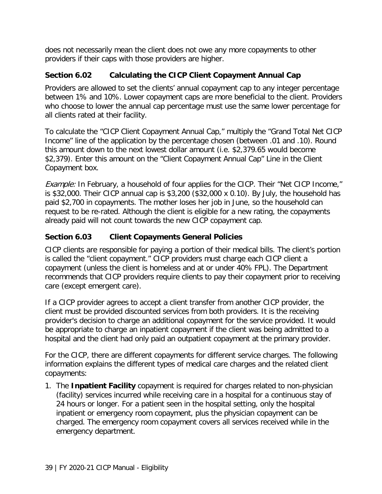does not necessarily mean the client does not owe any more copayments to other providers if their caps with those providers are higher.

#### <span id="page-41-0"></span>**Section 6.02 Calculating the CICP Client Copayment Annual Cap**

Providers are allowed to set the clients' annual copayment cap to any integer percentage between 1% and 10%. Lower copayment caps are more beneficial to the client. Providers who choose to lower the annual cap percentage must use the same lower percentage for all clients rated at their facility.

To calculate the "CICP Client Copayment Annual Cap," multiply the "Grand Total Net CICP Income" line of the application by the percentage chosen (between .01 and .10). Round this amount down to the next lowest dollar amount (i.e. \$2,379.65 would become \$2,379). Enter this amount on the "Client Copayment Annual Cap" Line in the Client Copayment box.

Example: In February, a household of four applies for the CICP. Their "Net CICP Income," is \$32,000. Their CICP annual cap is \$3,200 (\$32,000 x 0.10). By July, the household has paid \$2,700 in copayments. The mother loses her job in June, so the household can request to be re-rated. Although the client is eligible for a new rating, the copayments already paid will not count towards the new CICP copayment cap.

#### <span id="page-41-1"></span>**Section 6.03 Client Copayments General Policies**

CICP clients are responsible for paying a portion of their medical bills. The client's portion is called the "client copayment." CICP providers must charge each CICP client a copayment (unless the client is homeless and at or under 40% FPL). The Department recommends that CICP providers require clients to pay their copayment prior to receiving care (except emergent care).

If a CICP provider agrees to accept a client transfer from another CICP provider, the client must be provided discounted services from both providers. It is the receiving provider's decision to charge an additional copayment for the service provided. It would be appropriate to charge an inpatient copayment if the client was being admitted to a hospital and the client had only paid an outpatient copayment at the primary provider.

For the CICP, there are different copayments for different service charges. The following information explains the different types of medical care charges and the related client copayments:

1. The **Inpatient Facility** copayment is required for charges related to non-physician (facility) services incurred while receiving care in a hospital for a continuous stay of 24 hours or longer. For a patient seen in the hospital setting, only the hospital inpatient or emergency room copayment, plus the physician copayment can be charged. The emergency room copayment covers all services received while in the emergency department.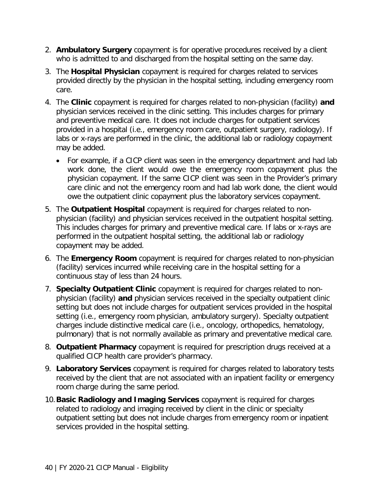- 2. **Ambulatory Surgery** copayment is for operative procedures received by a client who is admitted to and discharged from the hospital setting on the same day.
- 3. The **Hospital Physician** copayment is required for charges related to services provided directly by the physician in the hospital setting, including emergency room care.
- 4. The **Clinic** copayment is required for charges related to non-physician (facility) **and** physician services received in the clinic setting. This includes charges for primary and preventive medical care. It does not include charges for outpatient services provided in a hospital (i.e., emergency room care, outpatient surgery, radiology). If labs or x-rays are performed in the clinic, the additional lab or radiology copayment may be added.
	- For example, if a CICP client was seen in the emergency department and had lab work done, the client would owe the emergency room copayment plus the physician copayment. If the same CICP client was seen in the Provider's primary care clinic and not the emergency room and had lab work done, the client would owe the outpatient clinic copayment plus the laboratory services copayment.
- 5. The **Outpatient Hospital** copayment is required for charges related to nonphysician (facility) and physician services received in the outpatient hospital setting. This includes charges for primary and preventive medical care. If labs or x-rays are performed in the outpatient hospital setting, the additional lab or radiology copayment may be added.
- 6. The **Emergency Room** copayment is required for charges related to non-physician (facility) services incurred while receiving care in the hospital setting for a continuous stay of less than 24 hours.
- 7. **Specialty Outpatient Clinic** copayment is required for charges related to nonphysician (facility) **and** physician services received in the specialty outpatient clinic setting but does not include charges for outpatient services provided in the hospital setting (i.e., emergency room physician, ambulatory surgery). Specialty outpatient charges include distinctive medical care (i.e., oncology, orthopedics, hematology, pulmonary) that is not normally available as primary and preventative medical care.
- 8. **Outpatient Pharmacy** copayment is required for prescription drugs received at a qualified CICP health care provider's pharmacy.
- 9. **Laboratory Services** copayment is required for charges related to laboratory tests received by the client that are not associated with an inpatient facility or emergency room charge during the same period.
- 10.**Basic Radiology and Imaging Services** copayment is required for charges related to radiology and imaging received by client in the clinic or specialty outpatient setting but does not include charges from emergency room or inpatient services provided in the hospital setting.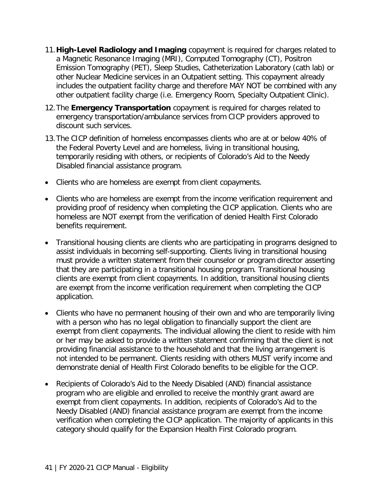- 11.**High-Level Radiology and Imaging** copayment is required for charges related to a Magnetic Resonance Imaging (MRI), Computed Tomography (CT), Positron Emission Tomography (PET), Sleep Studies, Catheterization Laboratory (cath lab) or other Nuclear Medicine services in an Outpatient setting. This copayment already includes the outpatient facility charge and therefore MAY NOT be combined with any other outpatient facility charge (i.e. Emergency Room, Specialty Outpatient Clinic).
- 12.The **Emergency Transportation** copayment is required for charges related to emergency transportation/ambulance services from CICP providers approved to discount such services.
- 13.The CICP definition of homeless encompasses clients who are at or below 40% of the Federal Poverty Level and are homeless, living in transitional housing, temporarily residing with others, or recipients of Colorado's Aid to the Needy Disabled financial assistance program.
- Clients who are homeless are exempt from client copayments.
- Clients who are homeless are exempt from the income verification requirement and providing proof of residency when completing the CICP application. Clients who are homeless are NOT exempt from the verification of denied Health First Colorado benefits requirement.
- Transitional housing clients are clients who are participating in programs designed to assist individuals in becoming self-supporting. Clients living in transitional housing must provide a written statement from their counselor or program director asserting that they are participating in a transitional housing program. Transitional housing clients are exempt from client copayments. In addition, transitional housing clients are exempt from the income verification requirement when completing the CICP application.
- Clients who have no permanent housing of their own and who are temporarily living with a person who has no legal obligation to financially support the client are exempt from client copayments. The individual allowing the client to reside with him or her may be asked to provide a written statement confirming that the client is not providing financial assistance to the household and that the living arrangement is not intended to be permanent. Clients residing with others MUST verify income and demonstrate denial of Health First Colorado benefits to be eligible for the CICP.
- Recipients of Colorado's Aid to the Needy Disabled (AND) financial assistance program who are eligible and enrolled to receive the monthly grant award are exempt from client copayments. In addition, recipients of Colorado's Aid to the Needy Disabled (AND) financial assistance program are exempt from the income verification when completing the CICP application. The majority of applicants in this category should qualify for the Expansion Health First Colorado program.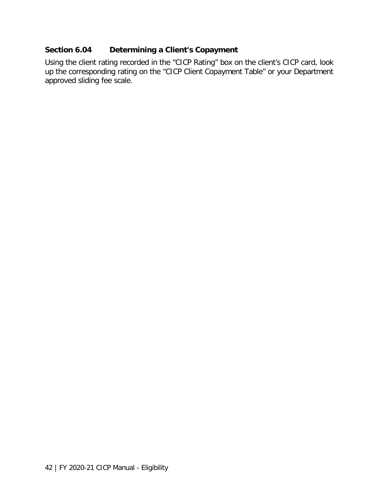#### <span id="page-44-0"></span>**Section 6.04 Determining a Client's Copayment**

Using the client rating recorded in the "CICP Rating" box on the client's CICP card, look up the corresponding rating on the "CICP Client Copayment Table" or your Department approved sliding fee scale.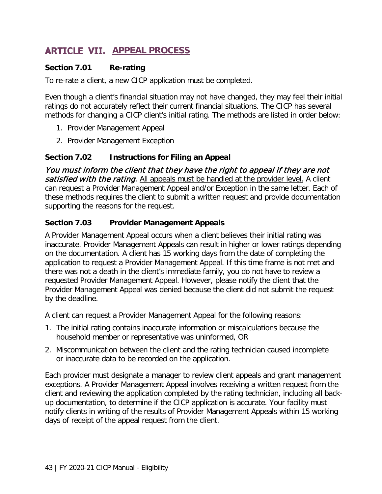## <span id="page-45-0"></span>**ARTICLE VII. APPEAL PROCESS**

#### <span id="page-45-1"></span>**Section 7.01 Re-rating**

To re-rate a client, a new CICP application must be completed.

Even though a client's financial situation may not have changed, they may feel their initial ratings do not accurately reflect their current financial situations. The CICP has several methods for changing a CICP client's initial rating. The methods are listed in order below:

- 1. Provider Management Appeal
- 2. Provider Management Exception

#### <span id="page-45-2"></span>**Section 7.02 Instructions for Filing an Appeal**

You must inform the client that they have the right to appeal if they are not satisfied with the rating. All appeals must be handled at the provider level. A client can request a Provider Management Appeal and/or Exception in the same letter. Each of these methods requires the client to submit a written request and provide documentation supporting the reasons for the request.

#### <span id="page-45-3"></span>**Section 7.03 Provider Management Appeals**

A Provider Management Appeal occurs when a client believes their initial rating was inaccurate. Provider Management Appeals can result in higher or lower ratings depending on the documentation. A client has 15 working days from the date of completing the application to request a Provider Management Appeal. If this time frame is not met and there was not a death in the client's immediate family, you do not have to review a requested Provider Management Appeal. However, please notify the client that the Provider Management Appeal was denied because the client did not submit the request by the deadline.

A client can request a Provider Management Appeal for the following reasons:

- 1. The initial rating contains inaccurate information or miscalculations because the household member or representative was uninformed, OR
- 2. Miscommunication between the client and the rating technician caused incomplete or inaccurate data to be recorded on the application.

Each provider must designate a manager to review client appeals and grant management exceptions. A Provider Management Appeal involves receiving a written request from the client and reviewing the application completed by the rating technician, including all backup documentation, to determine if the CICP application is accurate. Your facility must notify clients in writing of the results of Provider Management Appeals within 15 working days of receipt of the appeal request from the client.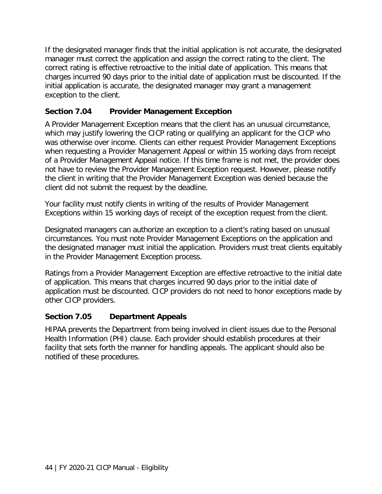If the designated manager finds that the initial application is not accurate, the designated manager must correct the application and assign the correct rating to the client. The correct rating is effective retroactive to the initial date of application. This means that charges incurred 90 days prior to the initial date of application must be discounted. If the initial application is accurate, the designated manager may grant a management exception to the client.

#### <span id="page-46-0"></span>**Section 7.04 Provider Management Exception**

A Provider Management Exception means that the client has an unusual circumstance, which may justify lowering the CICP rating or qualifying an applicant for the CICP who was otherwise over income. Clients can either request Provider Management Exceptions when requesting a Provider Management Appeal or within 15 working days from receipt of a Provider Management Appeal notice. If this time frame is not met, the provider does not have to review the Provider Management Exception request. However, please notify the client in writing that the Provider Management Exception was denied because the client did not submit the request by the deadline.

Your facility must notify clients in writing of the results of Provider Management Exceptions within 15 working days of receipt of the exception request from the client.

Designated managers can authorize an exception to a client's rating based on unusual circumstances. You must note Provider Management Exceptions on the application and the designated manager must initial the application. Providers must treat clients equitably in the Provider Management Exception process.

Ratings from a Provider Management Exception are effective retroactive to the initial date of application. This means that charges incurred 90 days prior to the initial date of application must be discounted. CICP providers do not need to honor exceptions made by other CICP providers.

#### <span id="page-46-1"></span>**Section 7.05 Department Appeals**

HIPAA prevents the Department from being involved in client issues due to the Personal Health Information (PHI) clause. Each provider should establish procedures at their facility that sets forth the manner for handling appeals. The applicant should also be notified of these procedures.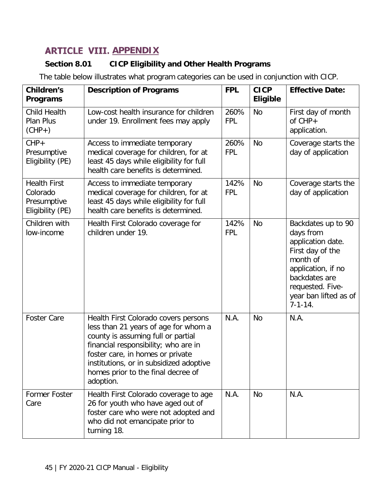# <span id="page-47-0"></span>**ARTICLE VIII. APPENDIX**

## <span id="page-47-1"></span>**Section 8.01 CICP Eligibility and Other Health Programs**

The table below illustrates what program categories can be used in conjunction with CICP.

| <b>Children's</b><br><b>Programs</b>                               | <b>Description of Programs</b>                                                                                                                                                                                                                                                               | <b>FPL</b>         | <b>CICP</b><br><b>Eligible</b> | <b>Effective Date:</b>                                                                                                                                                                    |
|--------------------------------------------------------------------|----------------------------------------------------------------------------------------------------------------------------------------------------------------------------------------------------------------------------------------------------------------------------------------------|--------------------|--------------------------------|-------------------------------------------------------------------------------------------------------------------------------------------------------------------------------------------|
| <b>Child Health</b><br><b>Plan Plus</b><br>$(CHP+)$                | Low-cost health insurance for children<br>under 19. Enrollment fees may apply                                                                                                                                                                                                                | 260%<br><b>FPL</b> | <b>No</b>                      | First day of month<br>of $CHP+$<br>application.                                                                                                                                           |
| $CHP+$<br>Presumptive<br>Eligibility (PE)                          | Access to immediate temporary<br>medical coverage for children, for at<br>least 45 days while eligibility for full<br>health care benefits is determined.                                                                                                                                    | 260%<br><b>FPL</b> | <b>No</b>                      | Coverage starts the<br>day of application                                                                                                                                                 |
| <b>Health First</b><br>Colorado<br>Presumptive<br>Eligibility (PE) | Access to immediate temporary<br>medical coverage for children, for at<br>least 45 days while eligibility for full<br>health care benefits is determined.                                                                                                                                    | 142%<br><b>FPL</b> | <b>No</b>                      | Coverage starts the<br>day of application                                                                                                                                                 |
| Children with<br>low-income                                        | Health First Colorado coverage for<br>children under 19.                                                                                                                                                                                                                                     | 142%<br><b>FPL</b> | <b>No</b>                      | Backdates up to 90<br>days from<br>application date.<br>First day of the<br>month of<br>application, if no<br>backdates are<br>requested. Five-<br>year ban lifted as of<br>$7 - 1 - 14.$ |
| <b>Foster Care</b>                                                 | Health First Colorado covers persons<br>less than 21 years of age for whom a<br>county is assuming full or partial<br>financial responsibility; who are in<br>foster care, in homes or private<br>institutions, or in subsidized adoptive<br>homes prior to the final decree of<br>adoption. | N.A.               | <b>No</b>                      | N.A.                                                                                                                                                                                      |
| <b>Former Foster</b><br>Care                                       | Health First Colorado coverage to age<br>26 for youth who have aged out of<br>foster care who were not adopted and<br>who did not emancipate prior to<br>turning 18.                                                                                                                         | N.A.               | <b>No</b>                      | N.A.                                                                                                                                                                                      |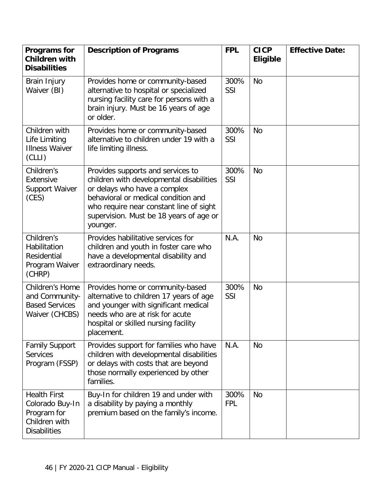| <b>Programs for</b><br><b>Children with</b><br><b>Disabilities</b>                            | <b>Description of Programs</b>                                                                                                                                                                                                                         | <b>FPL</b>         | <b>CICP</b><br><b>Eligible</b> | <b>Effective Date:</b> |
|-----------------------------------------------------------------------------------------------|--------------------------------------------------------------------------------------------------------------------------------------------------------------------------------------------------------------------------------------------------------|--------------------|--------------------------------|------------------------|
| Brain Injury<br>Waiver (BI)                                                                   | Provides home or community-based<br>alternative to hospital or specialized<br>nursing facility care for persons with a<br>brain injury. Must be 16 years of age<br>or older.                                                                           | 300%<br>SSI        | <b>No</b>                      |                        |
| Children with<br>Life Limiting<br><b>Illness Waiver</b><br>(CLLI)                             | Provides home or community-based<br>alternative to children under 19 with a<br>life limiting illness.                                                                                                                                                  | 300%<br>SSI        | <b>No</b>                      |                        |
| Children's<br>Extensive<br><b>Support Waiver</b><br>(CES)                                     | Provides supports and services to<br>children with developmental disabilities<br>or delays who have a complex<br>behavioral or medical condition and<br>who require near constant line of sight<br>supervision. Must be 18 years of age or<br>younger. | 300%<br>SSI        | <b>No</b>                      |                        |
| Children's<br>Habilitation<br>Residential<br>Program Waiver<br>(CHRP)                         | Provides habilitative services for<br>children and youth in foster care who<br>have a developmental disability and<br>extraordinary needs.                                                                                                             | N.A.               | <b>No</b>                      |                        |
| Children's Home<br>and Community-<br><b>Based Services</b><br>Waiver (CHCBS)                  | Provides home or community-based<br>alternative to children 17 years of age<br>and younger with significant medical<br>needs who are at risk for acute<br>hospital or skilled nursing facility<br>placement.                                           | 300%<br>SSI        | <b>No</b>                      |                        |
| <b>Family Support</b><br><b>Services</b><br>Program (FSSP)                                    | Provides support for families who have<br>children with developmental disabilities<br>or delays with costs that are beyond<br>those normally experienced by other<br>families.                                                                         | N.A.               | <b>No</b>                      |                        |
| <b>Health First</b><br>Colorado Buy-In<br>Program for<br>Children with<br><b>Disabilities</b> | Buy-In for children 19 and under with<br>a disability by paying a monthly<br>premium based on the family's income.                                                                                                                                     | 300%<br><b>FPL</b> | <b>No</b>                      |                        |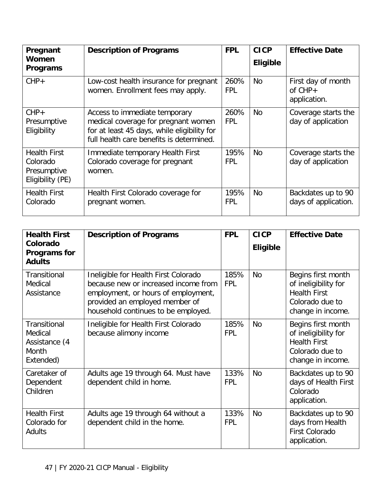| Pregnant<br>Women                                                  | <b>Description of Programs</b>                                                                                                                                  | <b>FPL</b>         | <b>CICP</b>     | <b>Effective Date</b>                           |
|--------------------------------------------------------------------|-----------------------------------------------------------------------------------------------------------------------------------------------------------------|--------------------|-----------------|-------------------------------------------------|
| Programs                                                           |                                                                                                                                                                 |                    | <b>Eligible</b> |                                                 |
| $CHP+$                                                             | Low-cost health insurance for pregnant<br>women. Enrollment fees may apply.                                                                                     | 260%<br><b>FPL</b> | <b>No</b>       | First day of month<br>of $CHP+$<br>application. |
| $CHP+$<br>Presumptive<br>Eligibility                               | Access to immediate temporary<br>medical coverage for pregnant women<br>for at least 45 days, while eligibility for<br>full health care benefits is determined. | 260%<br><b>FPL</b> | <b>No</b>       | Coverage starts the<br>day of application       |
| <b>Health First</b><br>Colorado<br>Presumptive<br>Eligibility (PE) | Immediate temporary Health First<br>Colorado coverage for pregnant<br>women.                                                                                    | 195%<br><b>FPL</b> | <b>No</b>       | Coverage starts the<br>day of application       |
| <b>Health First</b><br>Colorado                                    | Health First Colorado coverage for<br>pregnant women.                                                                                                           | 195%<br><b>FPL</b> | <b>No</b>       | Backdates up to 90<br>days of application.      |

| <b>Health First</b><br>Colorado<br>Programs for<br><b>Adults</b> | <b>Description of Programs</b>                                                                                                                                                               | <b>FPL</b>         | <b>CICP</b><br><b>Eligible</b> | <b>Effective Date</b>                                                                                     |
|------------------------------------------------------------------|----------------------------------------------------------------------------------------------------------------------------------------------------------------------------------------------|--------------------|--------------------------------|-----------------------------------------------------------------------------------------------------------|
| <b>Transitional</b><br>Medical<br>Assistance                     | Ineligible for Health First Colorado<br>because new or increased income from<br>employment, or hours of employment,<br>provided an employed member of<br>household continues to be employed. | 185%<br><b>FPL</b> | <b>No</b>                      | Begins first month<br>of ineligibility for<br><b>Health First</b><br>Colorado due to<br>change in income. |
| Transitional<br>Medical<br>Assistance (4<br>Month<br>Extended)   | Ineligible for Health First Colorado<br>because alimony income                                                                                                                               | 185%<br><b>FPL</b> | <b>No</b>                      | Begins first month<br>of ineligibility for<br><b>Health First</b><br>Colorado due to<br>change in income. |
| Caretaker of<br>Dependent<br>Children                            | Adults age 19 through 64. Must have<br>dependent child in home.                                                                                                                              | 133%<br><b>FPL</b> | <b>No</b>                      | Backdates up to 90<br>days of Health First<br>Colorado<br>application.                                    |
| <b>Health First</b><br>Colorado for<br>Adults                    | Adults age 19 through 64 without a<br>dependent child in the home.                                                                                                                           | 133%<br><b>FPL</b> | <b>No</b>                      | Backdates up to 90<br>days from Health<br>First Colorado<br>application.                                  |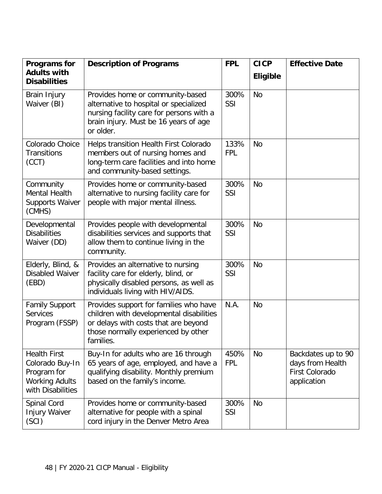| Programs for                                                                                        | <b>Description of Programs</b>                                                                                                                                                 | <b>FPL</b>         | <b>CICP</b>     | <b>Effective Date</b>                                                   |
|-----------------------------------------------------------------------------------------------------|--------------------------------------------------------------------------------------------------------------------------------------------------------------------------------|--------------------|-----------------|-------------------------------------------------------------------------|
| <b>Adults with</b><br><b>Disabilities</b>                                                           |                                                                                                                                                                                |                    | <b>Eligible</b> |                                                                         |
| Brain Injury<br>Waiver (BI)                                                                         | Provides home or community-based<br>alternative to hospital or specialized<br>nursing facility care for persons with a<br>brain injury. Must be 16 years of age<br>or older.   | 300%<br>SSI        | <b>No</b>       |                                                                         |
| Colorado Choice<br><b>Transitions</b><br>(CCT)                                                      | Helps transition Health First Colorado<br>members out of nursing homes and<br>long-term care facilities and into home<br>and community-based settings.                         | 133%<br><b>FPL</b> | <b>No</b>       |                                                                         |
| Community<br>Mental Health<br><b>Supports Waiver</b><br>(CMHS)                                      | Provides home or community-based<br>alternative to nursing facility care for<br>people with major mental illness.                                                              | 300%<br>SSI        | <b>No</b>       |                                                                         |
| Developmental<br><b>Disabilities</b><br>Waiver (DD)                                                 | Provides people with developmental<br>disabilities services and supports that<br>allow them to continue living in the<br>community.                                            | 300%<br>SSI        | <b>No</b>       |                                                                         |
| Elderly, Blind, &<br>Disabled Waiver<br>(EBD)                                                       | Provides an alternative to nursing<br>facility care for elderly, blind, or<br>physically disabled persons, as well as<br>individuals living with HIV/AIDS.                     | 300%<br>SSI        | <b>No</b>       |                                                                         |
| <b>Family Support</b><br><b>Services</b><br>Program (FSSP)                                          | Provides support for families who have<br>children with developmental disabilities<br>or delays with costs that are beyond<br>those normally experienced by other<br>families. | N.A.               | <b>No</b>       |                                                                         |
| <b>Health First</b><br>Colorado Buy-In<br>Program for<br><b>Working Adults</b><br>with Disabilities | Buy-In for adults who are 16 through<br>65 years of age, employed, and have a<br>qualifying disability. Monthly premium<br>based on the family's income.                       | 450%<br><b>FPL</b> | No              | Backdates up to 90<br>days from Health<br>First Colorado<br>application |
| Spinal Cord<br><b>Injury Waiver</b><br>(SCI)                                                        | Provides home or community-based<br>alternative for people with a spinal<br>cord injury in the Denver Metro Area                                                               | 300%<br>SSI        | <b>No</b>       |                                                                         |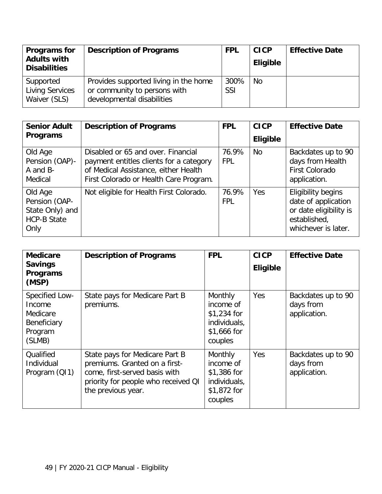| Programs for<br><b>Adults with</b><br><b>Disabilities</b> | <b>Description of Programs</b>                                                                      | <b>FPL</b>         | <b>CICP</b><br><b>Eligible</b> | <b>Effective Date</b> |
|-----------------------------------------------------------|-----------------------------------------------------------------------------------------------------|--------------------|--------------------------------|-----------------------|
| Supported<br><b>Living Services</b><br>Waiver (SLS)       | Provides supported living in the home<br>or community to persons with<br>developmental disabilities | 300%<br><b>SSI</b> | <b>No</b>                      |                       |

| <b>Senior Adult</b><br><b>Programs</b>                                    | <b>Description of Programs</b>                                                                                                                                  | <b>FPL</b>          | <b>CICP</b><br><b>Eligible</b> | <b>Effective Date</b>                                                                                             |
|---------------------------------------------------------------------------|-----------------------------------------------------------------------------------------------------------------------------------------------------------------|---------------------|--------------------------------|-------------------------------------------------------------------------------------------------------------------|
| Old Age<br>Pension (OAP)-<br>A and B-<br>Medical                          | Disabled or 65 and over. Financial<br>payment entitles clients for a category<br>of Medical Assistance, either Health<br>First Colorado or Health Care Program. | 76.9%<br><b>FPL</b> | <b>No</b>                      | Backdates up to 90<br>days from Health<br><b>First Colorado</b><br>application.                                   |
| Old Age<br>Pension (OAP-<br>State Only) and<br><b>HCP-B State</b><br>Only | Not eligible for Health First Colorado.                                                                                                                         | 76.9%<br><b>FPL</b> | Yes                            | <b>Eligibility begins</b><br>date of application<br>or date eligibility is<br>established,<br>whichever is later. |

| <b>Medicare</b><br><b>Savings</b><br><b>Programs</b><br>(MSP)            | <b>Description of Programs</b>                                                                                                                                | <b>FPL</b>                                                                     | <b>CICP</b><br><b>Eligible</b> | <b>Effective Date</b>                           |
|--------------------------------------------------------------------------|---------------------------------------------------------------------------------------------------------------------------------------------------------------|--------------------------------------------------------------------------------|--------------------------------|-------------------------------------------------|
| Specified Low-<br>Income<br>Medicare<br>Beneficiary<br>Program<br>(SLMB) | State pays for Medicare Part B<br>premiums.                                                                                                                   | Monthly<br>income of<br>$$1,234$ for<br>individuals,<br>\$1,666 for<br>couples | Yes                            | Backdates up to 90<br>days from<br>application. |
| Qualified<br>Individual<br>Program (Q11)                                 | State pays for Medicare Part B<br>premiums. Granted on a first-<br>come, first-served basis with<br>priority for people who received QI<br>the previous year. | Monthly<br>income of<br>$$1,386$ for<br>individuals,<br>\$1,872 for<br>couples | Yes                            | Backdates up to 90<br>days from<br>application. |